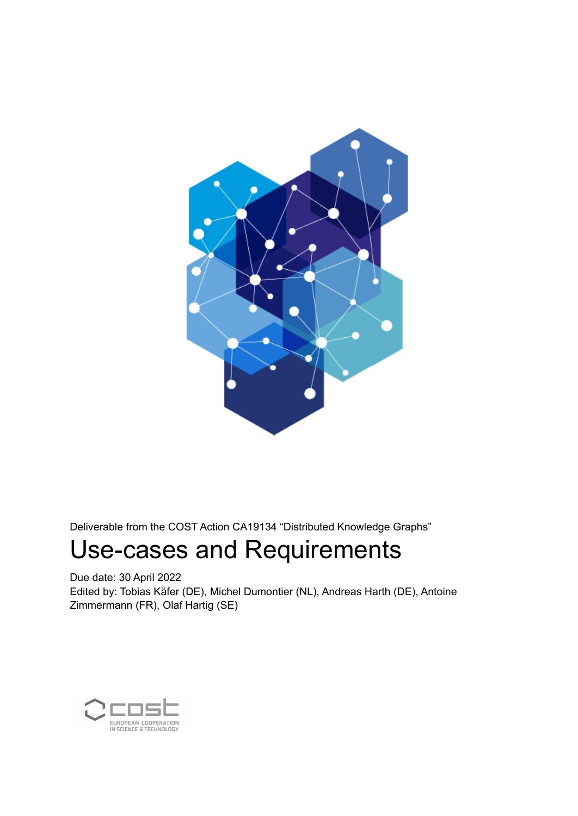

Deliverable from the COST Action CA19134 "Distributed Knowledge Graphs"

# Use-cases and Requirements

Due date: 30 April 2022

Edited by: Tobias Käfer (DE), Michel Dumontier (NL), Andreas Harth (DE), Antoine Zimmermann (FR), Olaf Hartig (SE)

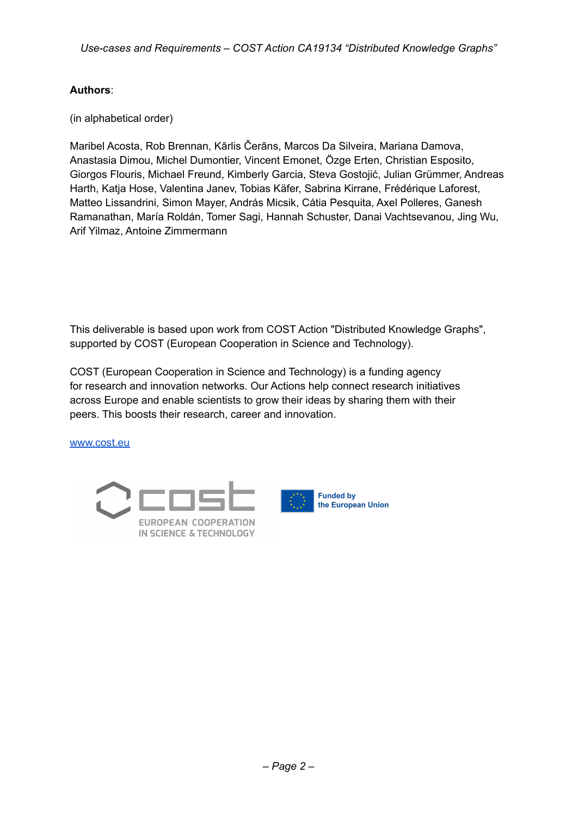### **Authors**:

(in alphabetical order)

Maribel Acosta, Rob Brennan, Kārlis Čerāns, Marcos Da Silveira, Mariana Damova, Anastasia Dimou, Michel Dumontier, Vincent Emonet, Özge Erten, Christian Esposito, Giorgos Flouris, Michael Freund, Kimberly Garcia, Steva Gostojić, Julian Grümmer, Andreas Harth, Katja Hose, Valentina Janev, Tobias Käfer, Sabrina Kirrane, Frédérique Laforest, Matteo Lissandrini, Simon Mayer, András Micsik, Cátia Pesquita, Axel Polleres, Ganesh Ramanathan, María Roldán, Tomer Sagi, Hannah Schuster, Danai Vachtsevanou, Jing Wu, Arif Yilmaz, Antoine Zimmermann

This deliverable is based upon work from COST Action "Distributed Knowledge Graphs", supported by COST (European Cooperation in Science and Technology).

COST (European Cooperation in Science and Technology) is a funding agency for research and innovation networks. Our Actions help connect research initiatives across Europe and enable scientists to grow their ideas by sharing them with their peers. This boosts their research, career and innovation.

[www.cost.eu](http://www.cost.eu)





the European Union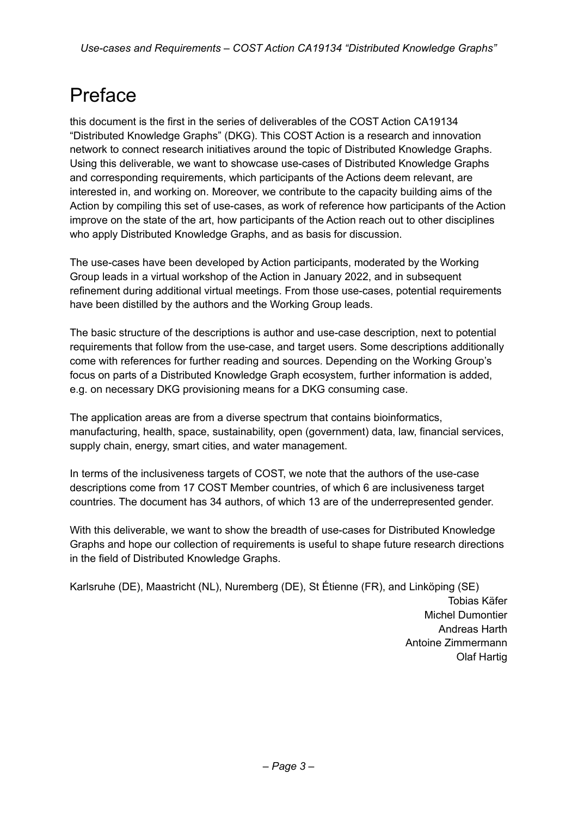# Preface

this document is the first in the series of deliverables of the COST Action CA19134 "Distributed Knowledge Graphs" (DKG). This COST Action is a research and innovation network to connect research initiatives around the topic of Distributed Knowledge Graphs. Using this deliverable, we want to showcase use-cases of Distributed Knowledge Graphs and corresponding requirements, which participants of the Actions deem relevant, are interested in, and working on. Moreover, we contribute to the capacity building aims of the Action by compiling this set of use-cases, as work of reference how participants of the Action improve on the state of the art, how participants of the Action reach out to other disciplines who apply Distributed Knowledge Graphs, and as basis for discussion.

The use-cases have been developed by Action participants, moderated by the Working Group leads in a virtual workshop of the Action in January 2022, and in subsequent refinement during additional virtual meetings. From those use-cases, potential requirements have been distilled by the authors and the Working Group leads.

The basic structure of the descriptions is author and use-case description, next to potential requirements that follow from the use-case, and target users. Some descriptions additionally come with references for further reading and sources. Depending on the Working Group's focus on parts of a Distributed Knowledge Graph ecosystem, further information is added, e.g. on necessary DKG provisioning means for a DKG consuming case.

The application areas are from a diverse spectrum that contains bioinformatics, manufacturing, health, space, sustainability, open (government) data, law, financial services, supply chain, energy, smart cities, and water management.

In terms of the inclusiveness targets of COST, we note that the authors of the use-case descriptions come from 17 COST Member countries, of which 6 are inclusiveness target countries. The document has 34 authors, of which 13 are of the underrepresented gender.

With this deliverable, we want to show the breadth of use-cases for Distributed Knowledge Graphs and hope our collection of requirements is useful to shape future research directions in the field of Distributed Knowledge Graphs.

Karlsruhe (DE), Maastricht (NL), Nuremberg (DE), St Étienne (FR), and Linköping (SE) Tobias Käfer Michel Dumontier Andreas Harth Antoine Zimmermann Olaf Hartig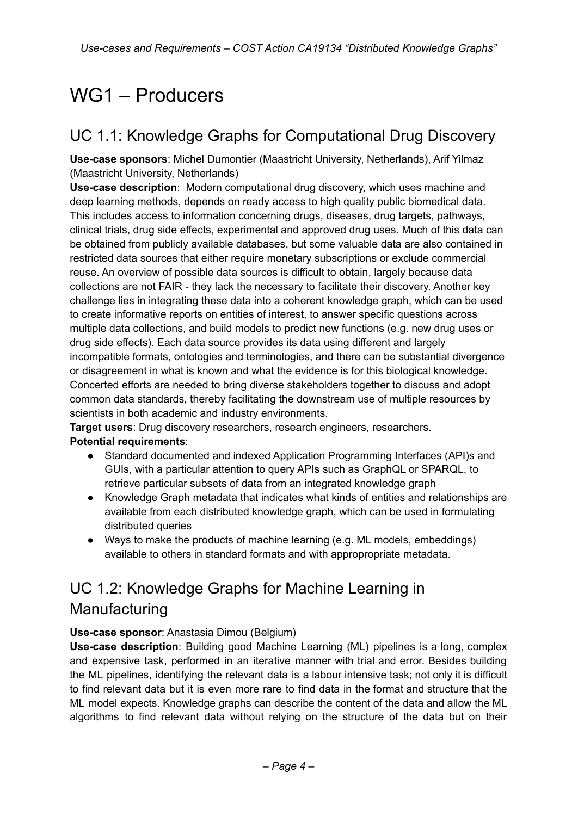# WG1 – Producers

# UC 1.1: Knowledge Graphs for Computational Drug Discovery

**Use-case sponsors**: Michel Dumontier (Maastricht University, Netherlands), Arif Yilmaz (Maastricht University, Netherlands)

**Use-case description**: Modern computational drug discovery, which uses machine and deep learning methods, depends on ready access to high quality public biomedical data. This includes access to information concerning drugs, diseases, drug targets, pathways, clinical trials, drug side effects, experimental and approved drug uses. Much of this data can be obtained from publicly available databases, but some valuable data are also contained in restricted data sources that either require monetary subscriptions or exclude commercial reuse. An overview of possible data sources is difficult to obtain, largely because data collections are not FAIR - they lack the necessary to facilitate their discovery. Another key challenge lies in integrating these data into a coherent knowledge graph, which can be used to create informative reports on entities of interest, to answer specific questions across multiple data collections, and build models to predict new functions (e.g. new drug uses or drug side effects). Each data source provides its data using different and largely incompatible formats, ontologies and terminologies, and there can be substantial divergence or disagreement in what is known and what the evidence is for this biological knowledge. Concerted efforts are needed to bring diverse stakeholders together to discuss and adopt common data standards, thereby facilitating the downstream use of multiple resources by scientists in both academic and industry environments.

**Target users**: Drug discovery researchers, research engineers, researchers. **Potential requirements**:

- Standard documented and indexed Application Programming Interfaces (API)s and GUIs, with a particular attention to query APIs such as GraphQL or SPARQL, to retrieve particular subsets of data from an integrated knowledge graph
- Knowledge Graph metadata that indicates what kinds of entities and relationships are available from each distributed knowledge graph, which can be used in formulating distributed queries
- Ways to make the products of machine learning (e.g. ML models, embeddings) available to others in standard formats and with appropropriate metadata.

# UC 1.2: Knowledge Graphs for Machine Learning in Manufacturing

### **Use-case sponsor**: Anastasia Dimou (Belgium)

**Use-case description**: Building good Machine Learning (ML) pipelines is a long, complex and expensive task, performed in an iterative manner with trial and error. Besides building the ML pipelines, identifying the relevant data is a labour intensive task; not only it is difficult to find relevant data but it is even more rare to find data in the format and structure that the ML model expects. Knowledge graphs can describe the content of the data and allow the ML algorithms to find relevant data without relying on the structure of the data but on their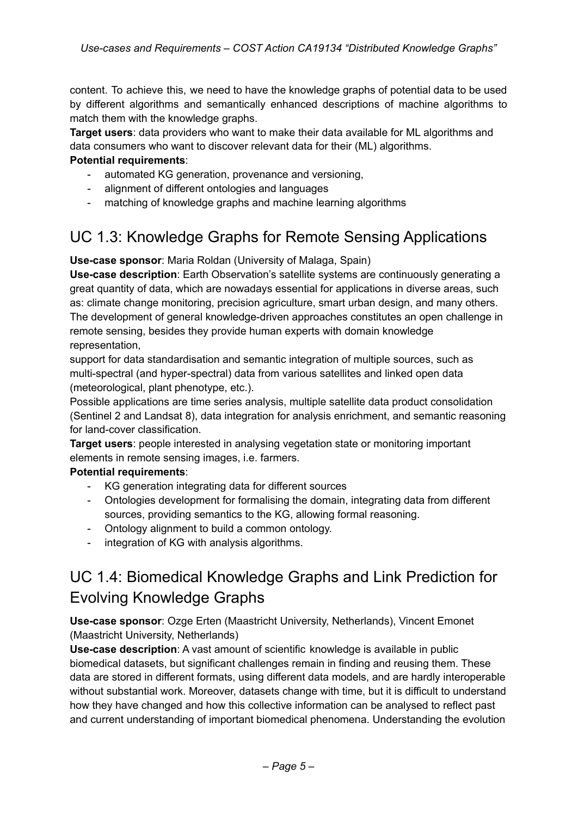content. To achieve this, we need to have the knowledge graphs of potential data to be used by different algorithms and semantically enhanced descriptions of machine algorithms to match them with the knowledge graphs.

**Target users**: data providers who want to make their data available for ML algorithms and data consumers who want to discover relevant data for their (ML) algorithms.

### **Potential requirements**:

- automated KG generation, provenance and versioning,
- alignment of different ontologies and languages
- matching of knowledge graphs and machine learning algorithms

## UC 1.3: Knowledge Graphs for Remote Sensing Applications

**Use-case sponsor**: Maria Roldan (University of Malaga, Spain)

**Use-case description**: Earth Observation's satellite systems are continuously generating a great quantity of data, which are nowadays essential for applications in diverse areas, such as: climate change monitoring, precision agriculture, smart urban design, and many others. The development of general knowledge-driven approaches constitutes an open challenge in remote sensing, besides they provide human experts with domain knowledge representation,

support for data standardisation and semantic integration of multiple sources, such as multi-spectral (and hyper-spectral) data from various satellites and linked open data (meteorological, plant phenotype, etc.).

Possible applications are time series analysis, multiple satellite data product consolidation (Sentinel 2 and Landsat 8), data integration for analysis enrichment, and semantic reasoning for land-cover classification.

**Target users**: people interested in analysing vegetation state or monitoring important elements in remote sensing images, i.e. farmers.

### **Potential requirements**:

- KG generation integrating data for different sources
- Ontologies development for formalising the domain, integrating data from different sources, providing semantics to the KG, allowing formal reasoning.
- Ontology alignment to build a common ontology.
- integration of KG with analysis algorithms.

## UC 1.4: Biomedical Knowledge Graphs and Link Prediction for Evolving Knowledge Graphs

**Use-case sponsor**: Ozge Erten (Maastricht University, Netherlands), Vincent Emonet (Maastricht University, Netherlands)

**Use-case description**: A vast amount of scientific knowledge is available in public biomedical datasets, but significant challenges remain in finding and reusing them. These data are stored in different formats, using different data models, and are hardly interoperable without substantial work. Moreover, datasets change with time, but it is difficult to understand how they have changed and how this collective information can be analysed to reflect past and current understanding of important biomedical phenomena. Understanding the evolution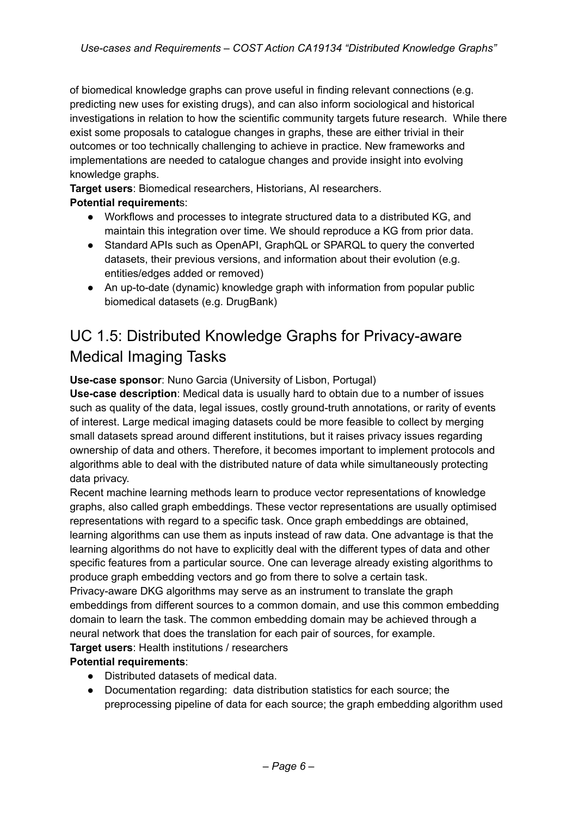of biomedical knowledge graphs can prove useful in finding relevant connections (e.g. predicting new uses for existing drugs), and can also inform sociological and historical investigations in relation to how the scientific community targets future research. While there exist some proposals to catalogue changes in graphs, these are either trivial in their outcomes or too technically challenging to achieve in practice. New frameworks and implementations are needed to catalogue changes and provide insight into evolving knowledge graphs.

**Target users**: Biomedical researchers, Historians, AI researchers.

### **Potential requirement**s:

- Workflows and processes to integrate structured data to a distributed KG, and maintain this integration over time. We should reproduce a KG from prior data.
- Standard APIs such as OpenAPI, GraphQL or SPARQL to query the converted datasets, their previous versions, and information about their evolution (e.g. entities/edges added or removed)
- An up-to-date (dynamic) knowledge graph with information from popular public biomedical datasets (e.g. DrugBank)

# UC 1.5: Distributed Knowledge Graphs for Privacy-aware Medical Imaging Tasks

### **Use-case sponsor**: Nuno Garcia (University of Lisbon, Portugal)

**Use-case description**: Medical data is usually hard to obtain due to a number of issues such as quality of the data, legal issues, costly ground-truth annotations, or rarity of events of interest. Large medical imaging datasets could be more feasible to collect by merging small datasets spread around different institutions, but it raises privacy issues regarding ownership of data and others. Therefore, it becomes important to implement protocols and algorithms able to deal with the distributed nature of data while simultaneously protecting data privacy.

Recent machine learning methods learn to produce vector representations of knowledge graphs, also called graph embeddings. These vector representations are usually optimised representations with regard to a specific task. Once graph embeddings are obtained, learning algorithms can use them as inputs instead of raw data. One advantage is that the learning algorithms do not have to explicitly deal with the different types of data and other specific features from a particular source. One can leverage already existing algorithms to produce graph embedding vectors and go from there to solve a certain task.

Privacy-aware DKG algorithms may serve as an instrument to translate the graph embeddings from different sources to a common domain, and use this common embedding domain to learn the task. The common embedding domain may be achieved through a neural network that does the translation for each pair of sources, for example.

### **Target users**: Health institutions / researchers

### **Potential requirements**:

- Distributed datasets of medical data.
- Documentation regarding: data distribution statistics for each source; the preprocessing pipeline of data for each source; the graph embedding algorithm used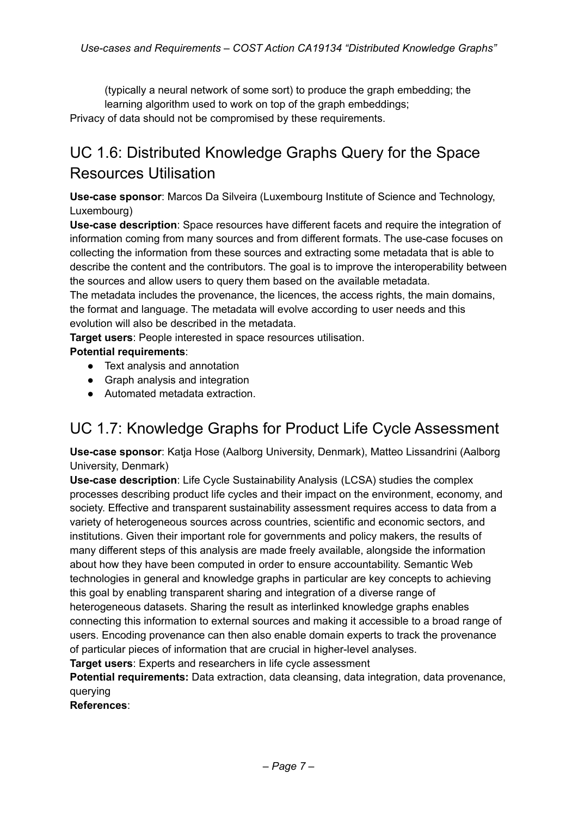(typically a neural network of some sort) to produce the graph embedding; the learning algorithm used to work on top of the graph embeddings; Privacy of data should not be compromised by these requirements.

# UC 1.6: Distributed Knowledge Graphs Query for the Space Resources Utilisation

**Use-case sponsor**: Marcos Da Silveira (Luxembourg Institute of Science and Technology, Luxembourg)

**Use-case description**: Space resources have different facets and require the integration of information coming from many sources and from different formats. The use-case focuses on collecting the information from these sources and extracting some metadata that is able to describe the content and the contributors. The goal is to improve the interoperability between the sources and allow users to query them based on the available metadata.

The metadata includes the provenance, the licences, the access rights, the main domains, the format and language. The metadata will evolve according to user needs and this evolution will also be described in the metadata.

**Target users**: People interested in space resources utilisation.

### **Potential requirements**:

- Text analysis and annotation
- Graph analysis and integration
- Automated metadata extraction.

## UC 1.7: Knowledge Graphs for Product Life Cycle Assessment

**Use-case sponsor**: Katja Hose (Aalborg University, Denmark), Matteo Lissandrini (Aalborg University, Denmark)

**Use-case description**: Life Cycle Sustainability Analysis (LCSA) studies the complex processes describing product life cycles and their impact on the environment, economy, and society. Effective and transparent sustainability assessment requires access to data from a variety of heterogeneous sources across countries, scientific and economic sectors, and institutions. Given their important role for governments and policy makers, the results of many different steps of this analysis are made freely available, alongside the information about how they have been computed in order to ensure accountability. Semantic Web technologies in general and knowledge graphs in particular are key concepts to achieving this goal by enabling transparent sharing and integration of a diverse range of heterogeneous datasets. Sharing the result as interlinked knowledge graphs enables connecting this information to external sources and making it accessible to a broad range of users. Encoding provenance can then also enable domain experts to track the provenance of particular pieces of information that are crucial in higher-level analyses.

**Target users**: Experts and researchers in life cycle assessment

**Potential requirements:** Data extraction, data cleansing, data integration, data provenance, querying

**References**: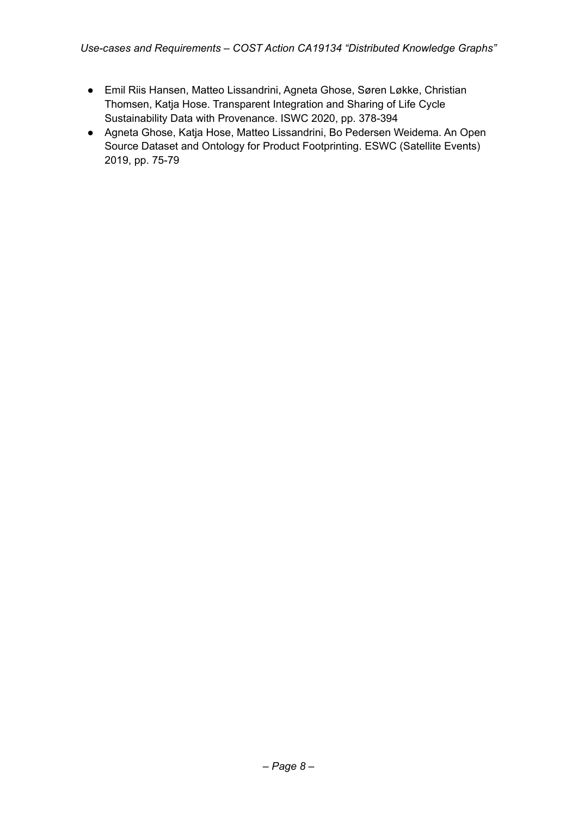- Emil Riis Hansen, Matteo Lissandrini, Agneta Ghose, Søren Løkke, Christian Thomsen, Katja Hose. Transparent Integration and Sharing of Life Cycle Sustainability Data with Provenance. ISWC 2020, pp. 378-394
- Agneta Ghose, Katja Hose, Matteo Lissandrini, Bo Pedersen Weidema. An Open Source Dataset and Ontology for Product Footprinting. ESWC (Satellite Events) 2019, pp. 75-79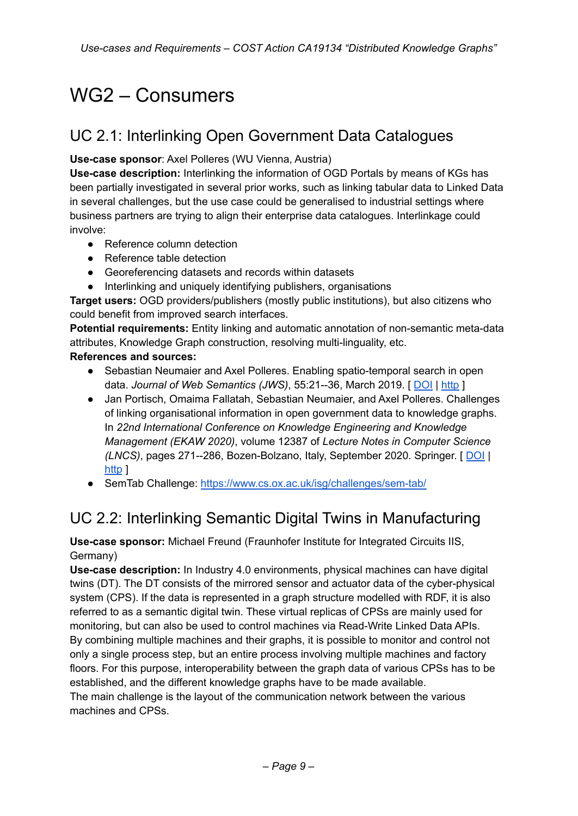# WG2 – Consumers

# UC 2.1: Interlinking Open Government Data Catalogues

### **Use-case sponsor**: Axel Polleres (WU Vienna, Austria)

**Use-case description:** Interlinking the information of OGD Portals by means of KGs has been partially investigated in several prior works, such as linking tabular data to Linked Data in several challenges, but the use case could be generalised to industrial settings where business partners are trying to align their enterprise data catalogues. Interlinkage could involve:

- Reference column detection
- Reference table detection
- Georeferencing datasets and records within datasets
- Interlinking and uniquely identifying publishers, organisations

**Target users:** OGD providers/publishers (mostly public institutions), but also citizens who could benefit from improved search interfaces.

**Potential requirements:** Entity linking and automatic annotation of non-semantic meta-data attributes, Knowledge Graph construction, resolving multi-linguality, etc.

### **References and sources:**

- Sebastian Neumaier and Axel Polleres. Enabling spatio-temporal search in open data. *Journal of Web Semantics (JWS)*, 55:21--36, March 2019. [ [DOI](http://dx.doi.org/10.1016/j.websem.2018.12.007) | [http](http://epub.wu.ac.at/6764/) ]
- Jan Portisch, Omaima Fallatah, Sebastian Neumaier, and Axel Polleres. Challenges of linking organisational information in open government data to knowledge graphs. In *22nd International Conference on Knowledge Engineering and Knowledge Management (EKAW 2020)*, volume 12387 of *Lecture Notes in Computer Science (LNCS)*, pages 271--286, Bozen-Bolzano, Italy, September 2020. Springer. [ [DOI](http://dx.doi.org/10.1007/978-3-030-61244-3_19) | [http](https://arxiv.org/abs/2008.06232) 1
- SemTab Challenge: <https://www.cs.ox.ac.uk/isg/challenges/sem-tab/>

## UC 2.2: Interlinking Semantic Digital Twins in Manufacturing

**Use-case sponsor:** Michael Freund (Fraunhofer Institute for Integrated Circuits IIS, Germany)

**Use-case description:** In Industry 4.0 environments, physical machines can have digital twins (DT). The DT consists of the mirrored sensor and actuator data of the cyber-physical system (CPS). If the data is represented in a graph structure modelled with RDF, it is also referred to as a semantic digital twin. These virtual replicas of CPSs are mainly used for monitoring, but can also be used to control machines via Read-Write Linked Data APIs. By combining multiple machines and their graphs, it is possible to monitor and control not only a single process step, but an entire process involving multiple machines and factory floors. For this purpose, interoperability between the graph data of various CPSs has to be established, and the different knowledge graphs have to be made available. The main challenge is the layout of the communication network between the various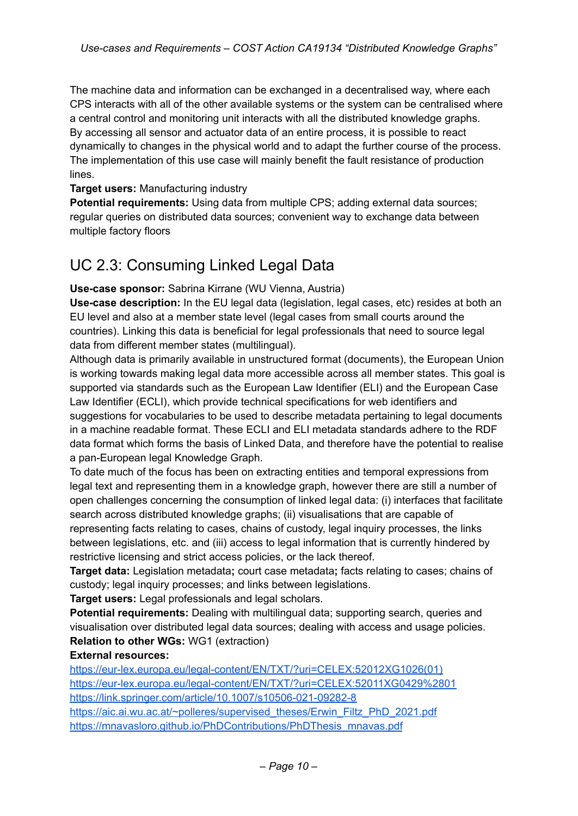The machine data and information can be exchanged in a decentralised way, where each CPS interacts with all of the other available systems or the system can be centralised where a central control and monitoring unit interacts with all the distributed knowledge graphs. By accessing all sensor and actuator data of an entire process, it is possible to react dynamically to changes in the physical world and to adapt the further course of the process. The implementation of this use case will mainly benefit the fault resistance of production lines.

### **Target users:** Manufacturing industry

**Potential requirements:** Using data from multiple CPS; adding external data sources; regular queries on distributed data sources; convenient way to exchange data between multiple factory floors

### UC 2.3: Consuming Linked Legal Data

**Use-case sponsor:** Sabrina Kirrane (WU Vienna, Austria)

**Use-case description:** In the EU legal data (legislation, legal cases, etc) resides at both an EU level and also at a member state level (legal cases from small courts around the countries). Linking this data is beneficial for legal professionals that need to source legal data from different member states (multilingual).

Although data is primarily available in unstructured format (documents), the European Union is working towards making legal data more accessible across all member states. This goal is supported via standards such as the European Law Identifier (ELI) and the European Case Law Identifier (ECLI), which provide technical specifications for web identifiers and suggestions for vocabularies to be used to describe metadata pertaining to legal documents in a machine readable format. These ECLI and ELI metadata standards adhere to the RDF data format which forms the basis of Linked Data, and therefore have the potential to realise a pan-European legal Knowledge Graph.

To date much of the focus has been on extracting entities and temporal expressions from legal text and representing them in a knowledge graph, however there are still a number of open challenges concerning the consumption of linked legal data: (i) interfaces that facilitate search across distributed knowledge graphs; (ii) visualisations that are capable of representing facts relating to cases, chains of custody, legal inquiry processes, the links between legislations, etc. and (iii) access to legal information that is currently hindered by restrictive licensing and strict access policies, or the lack thereof.

**Target data:** Legislation metadata**;** court case metadata**;** facts relating to cases; chains of custody; legal inquiry processes; and links between legislations.

**Target users:** Legal professionals and legal scholars.

**Potential requirements:** Dealing with multilingual data; supporting search, queries and visualisation over distributed legal data sources; dealing with access and usage policies. **Relation to other WGs:** WG1 (extraction)

### **External resources:**

[https://eur-lex.europa.eu/legal-content/EN/TXT/?uri=CELEX:52012XG1026\(01\)](https://eur-lex.europa.eu/legal-content/EN/TXT/?uri=CELEX:52012XG1026%2801)) <https://eur-lex.europa.eu/legal-content/EN/TXT/?uri=CELEX:52011XG0429%2801> <https://link.springer.com/article/10.1007/s10506-021-09282-8> [https://aic.ai.wu.ac.at/~polleres/supervised\\_theses/Erwin\\_Filtz\\_PhD\\_2021.pdf](https://aic.ai.wu.ac.at/~polleres/supervised_theses/Erwin_Filtz_PhD_2021.pdf) [https://mnavasloro.github.io/PhDContributions/PhDThesis\\_mnavas.pdf](https://mnavasloro.github.io/PhDContributions/PhDThesis_mnavas.pdf)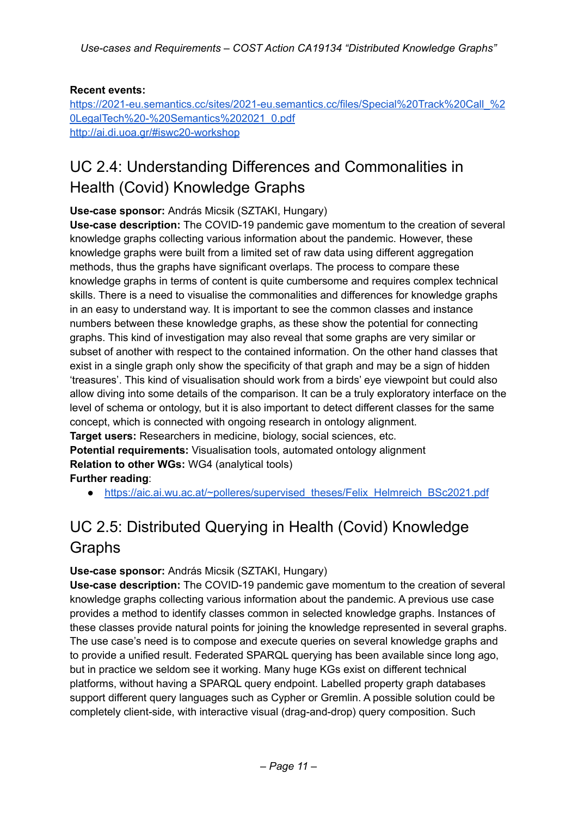### **Recent events:**

[https://2021-eu.semantics.cc/sites/2021-eu.semantics.cc/files/Special%20Track%20Call\\_%2](https://2021-eu.semantics.cc/sites/2021-eu.semantics.cc/files/Special%20Track%20Call_%20LegalTech%20-%20Semantics%202021_0.pdf) [0LegalTech%20-%20Semantics%202021\\_0.pdf](https://2021-eu.semantics.cc/sites/2021-eu.semantics.cc/files/Special%20Track%20Call_%20LegalTech%20-%20Semantics%202021_0.pdf) <http://ai.di.uoa.gr/#iswc20-workshop>

# UC 2.4: Understanding Differences and Commonalities in Health (Covid) Knowledge Graphs

**Use-case sponsor:** András Micsik (SZTAKI, Hungary)

**Use-case description:** The COVID-19 pandemic gave momentum to the creation of several knowledge graphs collecting various information about the pandemic. However, these knowledge graphs were built from a limited set of raw data using different aggregation methods, thus the graphs have significant overlaps. The process to compare these knowledge graphs in terms of content is quite cumbersome and requires complex technical skills. There is a need to visualise the commonalities and differences for knowledge graphs in an easy to understand way. It is important to see the common classes and instance numbers between these knowledge graphs, as these show the potential for connecting graphs. This kind of investigation may also reveal that some graphs are very similar or subset of another with respect to the contained information. On the other hand classes that exist in a single graph only show the specificity of that graph and may be a sign of hidden 'treasures'. This kind of visualisation should work from a birds' eye viewpoint but could also allow diving into some details of the comparison. It can be a truly exploratory interface on the level of schema or ontology, but it is also important to detect different classes for the same concept, which is connected with ongoing research in ontology alignment. **Target users:** Researchers in medicine, biology, social sciences, etc. **Potential requirements:** Visualisation tools, automated ontology alignment

**Relation to other WGs:** WG4 (analytical tools) **Further reading**:

• [https://aic.ai.wu.ac.at/~polleres/supervised\\_theses/Felix\\_Helmreich\\_BSc2021.pdf](https://aic.ai.wu.ac.at/~polleres/supervised_theses/Felix_Helmreich_BSc2021.pdf)

# UC 2.5: Distributed Querying in Health (Covid) Knowledge Graphs

### **Use-case sponsor:** András Micsik (SZTAKI, Hungary)

**Use-case description:** The COVID-19 pandemic gave momentum to the creation of several knowledge graphs collecting various information about the pandemic. A previous use case provides a method to identify classes common in selected knowledge graphs. Instances of these classes provide natural points for joining the knowledge represented in several graphs. The use case's need is to compose and execute queries on several knowledge graphs and to provide a unified result. Federated SPARQL querying has been available since long ago, but in practice we seldom see it working. Many huge KGs exist on different technical platforms, without having a SPARQL query endpoint. Labelled property graph databases support different query languages such as Cypher or Gremlin. A possible solution could be completely client-side, with interactive visual (drag-and-drop) query composition. Such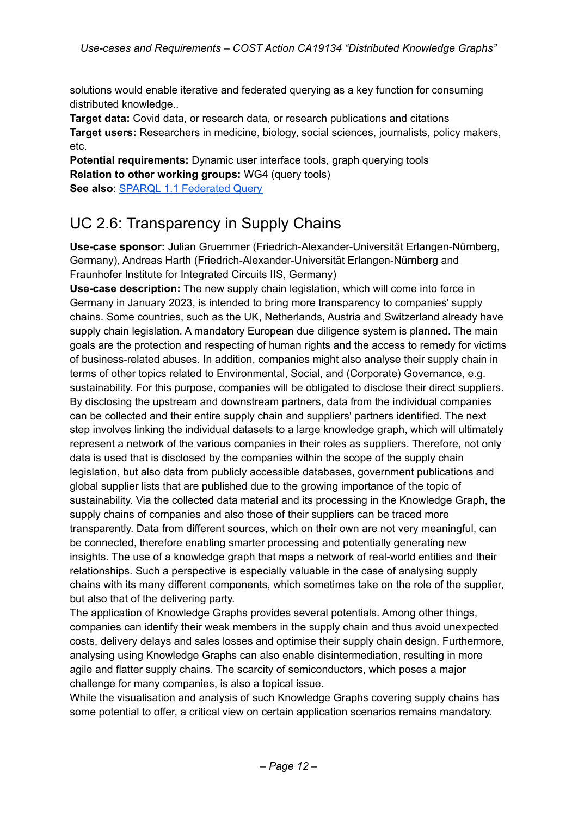solutions would enable iterative and federated querying as a key function for consuming distributed knowledge..

**Target data:** Covid data, or research data, or research publications and citations **Target users:** Researchers in medicine, biology, social sciences, journalists, policy makers, etc.

**Potential requirements:** Dynamic user interface tools, graph querying tools **Relation to other working groups:** WG4 (query tools) **See also**: SPARQL 1.1 [Federated](https://www.w3.org/TR/sparql11-federated-query/) Query

## UC 2.6: Transparency in Supply Chains

**Use-case sponsor:** Julian Gruemmer (Friedrich-Alexander-Universität Erlangen-Nürnberg, Germany), Andreas Harth (Friedrich-Alexander-Universität Erlangen-Nürnberg and Fraunhofer Institute for Integrated Circuits IIS, Germany)

**Use-case description:** The new supply chain legislation, which will come into force in Germany in January 2023, is intended to bring more transparency to companies' supply chains. Some countries, such as the UK, Netherlands, Austria and Switzerland already have supply chain legislation. A mandatory European due diligence system is planned. The main goals are the protection and respecting of human rights and the access to remedy for victims of business-related abuses. In addition, companies might also analyse their supply chain in terms of other topics related to Environmental, Social, and (Corporate) Governance, e.g. sustainability. For this purpose, companies will be obligated to disclose their direct suppliers. By disclosing the upstream and downstream partners, data from the individual companies can be collected and their entire supply chain and suppliers' partners identified. The next step involves linking the individual datasets to a large knowledge graph, which will ultimately represent a network of the various companies in their roles as suppliers. Therefore, not only data is used that is disclosed by the companies within the scope of the supply chain legislation, but also data from publicly accessible databases, government publications and global supplier lists that are published due to the growing importance of the topic of sustainability. Via the collected data material and its processing in the Knowledge Graph, the supply chains of companies and also those of their suppliers can be traced more transparently. Data from different sources, which on their own are not very meaningful, can be connected, therefore enabling smarter processing and potentially generating new insights. The use of a knowledge graph that maps a network of real-world entities and their relationships. Such a perspective is especially valuable in the case of analysing supply chains with its many different components, which sometimes take on the role of the supplier, but also that of the delivering party.

The application of Knowledge Graphs provides several potentials. Among other things, companies can identify their weak members in the supply chain and thus avoid unexpected costs, delivery delays and sales losses and optimise their supply chain design. Furthermore, analysing using Knowledge Graphs can also enable disintermediation, resulting in more agile and flatter supply chains. The scarcity of semiconductors, which poses a major challenge for many companies, is also a topical issue.

While the visualisation and analysis of such Knowledge Graphs covering supply chains has some potential to offer, a critical view on certain application scenarios remains mandatory.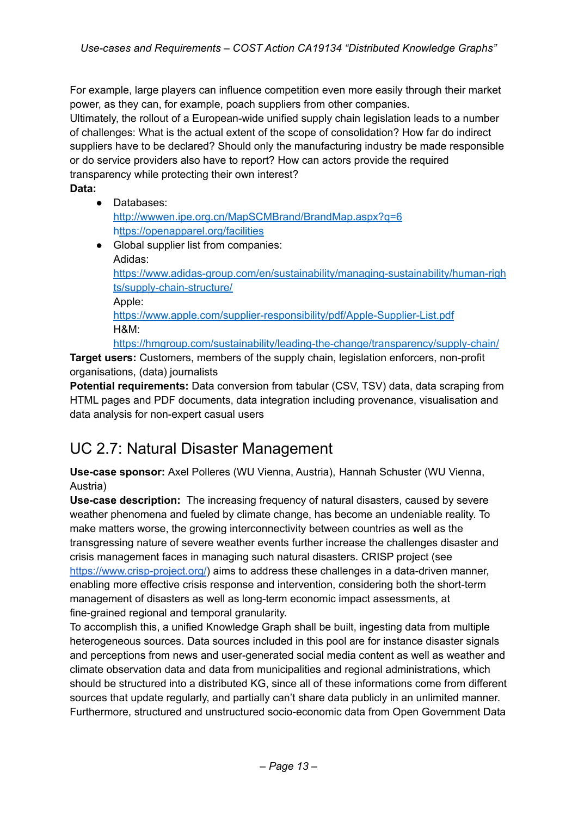For example, large players can influence competition even more easily through their market power, as they can, for example, poach suppliers from other companies.

Ultimately, the rollout of a European-wide unified supply chain legislation leads to a number of challenges: What is the actual extent of the scope of consolidation? How far do indirect suppliers have to be declared? Should only the manufacturing industry be made responsible or do service providers also have to report? How can actors provide the required transparency while protecting their own interest?

**Data:**

● Databases:

<http://wwwen.ipe.org.cn/MapSCMBrand/BrandMap.aspx?q=6> <https://openapparel.org/facilities>

● Global supplier list from companies: Adidas: [https://www.adidas-group.com/en/sustainability/managing-sustainability/human-righ](https://www.adidas-group.com/en/sustainability/managing-sustainability/human-rights/supply-chain-structure/) [ts/supply-chain-structure/](https://www.adidas-group.com/en/sustainability/managing-sustainability/human-rights/supply-chain-structure/) Apple: <https://www.apple.com/supplier-responsibility/pdf/Apple-Supplier-List.pdf> H&M[:](https://hmgroup.com/sustainability/leading-the-change/transparency/supply-chain/)

<https://hmgroup.com/sustainability/leading-the-change/transparency/supply-chain/>

**Target users:** Customers, members of the supply chain, legislation enforcers, non-profit organisations, (data) journalists

**Potential requirements:** Data conversion from tabular (CSV, TSV) data, data scraping from HTML pages and PDF documents, data integration including provenance, visualisation and data analysis for non-expert casual users

## UC 2.7: Natural Disaster Management

**Use-case sponsor:** Axel Polleres (WU Vienna, Austria), Hannah Schuster (WU Vienna, Austria)

**Use-case description:** The increasing frequency of natural disasters, caused by severe weather phenomena and fueled by climate change, has become an undeniable reality. To make matters worse, the growing interconnectivity between countries as well as the transgressing nature of severe weather events further increase the challenges disaster and crisis management faces in managing such natural disasters. CRISP project (see <https://www.crisp-project.org/>) aims to address these challenges in a data-driven manner, enabling more effective crisis response and intervention, considering both the short-term management of disasters as well as long-term economic impact assessments, at fine-grained regional and temporal granularity.

To accomplish this, a unified Knowledge Graph shall be built, ingesting data from multiple heterogeneous sources. Data sources included in this pool are for instance disaster signals and perceptions from news and user-generated social media content as well as weather and climate observation data and data from municipalities and regional administrations, which should be structured into a distributed KG, since all of these informations come from different sources that update regularly, and partially can't share data publicly in an unlimited manner. Furthermore, structured and unstructured socio-economic data from Open Government Data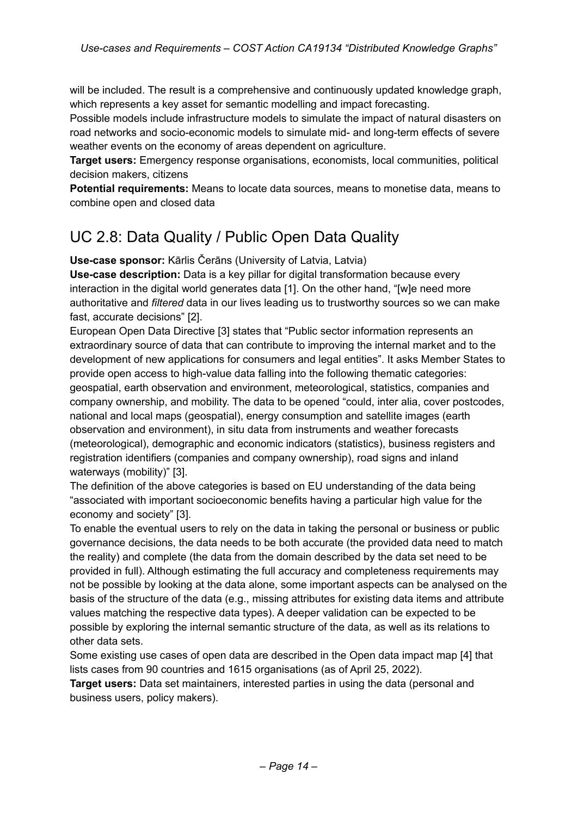will be included. The result is a comprehensive and continuously updated knowledge graph, which represents a key asset for semantic modelling and impact forecasting.

Possible models include infrastructure models to simulate the impact of natural disasters on road networks and socio-economic models to simulate mid- and long-term effects of severe weather events on the economy of areas dependent on agriculture.

**Target users:** Emergency response organisations, economists, local communities, political decision makers, citizens

**Potential requirements:** Means to locate data sources, means to monetise data, means to combine open and closed data

# UC 2.8: Data Quality / Public Open Data Quality

**Use-case sponsor:** Kārlis Čerāns (University of Latvia, Latvia)

**Use-case description:** Data is a key pillar for digital transformation because every interaction in the digital world generates data [1]. On the other hand, "[w]e need more authoritative and *filtered* data in our lives leading us to trustworthy sources so we can make fast, accurate decisions" [2].

European Open Data Directive [3] states that "Public sector information represents an extraordinary source of data that can contribute to improving the internal market and to the development of new applications for consumers and legal entities". It asks Member States to provide open access to high-value data falling into the following thematic categories: geospatial, earth observation and environment, meteorological, statistics, companies and company ownership, and mobility. The data to be opened "could, inter alia, cover postcodes, national and local maps (geospatial), energy consumption and satellite images (earth observation and environment), in situ data from instruments and weather forecasts (meteorological), demographic and economic indicators (statistics), business registers and registration identifiers (companies and company ownership), road signs and inland waterways (mobility)" [3].

The definition of the above categories is based on EU understanding of the data being "associated with important socioeconomic benefits having a particular high value for the economy and society" [3].

To enable the eventual users to rely on the data in taking the personal or business or public governance decisions, the data needs to be both accurate (the provided data need to match the reality) and complete (the data from the domain described by the data set need to be provided in full). Although estimating the full accuracy and completeness requirements may not be possible by looking at the data alone, some important aspects can be analysed on the basis of the structure of the data (e.g., missing attributes for existing data items and attribute values matching the respective data types). A deeper validation can be expected to be possible by exploring the internal semantic structure of the data, as well as its relations to other data sets.

Some existing use cases of open data are described in the Open data impact map [4] that lists cases from 90 countries and 1615 organisations (as of April 25, 2022).

**Target users:** Data set maintainers, interested parties in using the data (personal and business users, policy makers).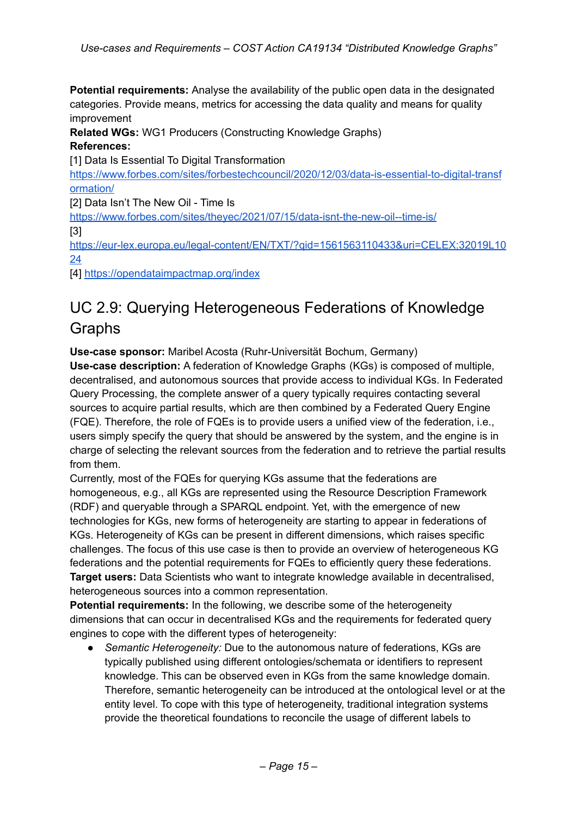**Potential requirements:** Analyse the availability of the public open data in the designated categories. Provide means, metrics for accessing the data quality and means for quality improvement

**Related WGs:** WG1 Producers (Constructing Knowledge Graphs)

### **References:**

[1] Data Is Essential To Digital Transformation

[https://www.forbes.com/sites/forbestechcouncil/2020/12/03/data-is-essential-to-digital-transf](https://www.forbes.com/sites/forbestechcouncil/2020/12/03/data-is-essential-to-digital-transformation/) [ormation/](https://www.forbes.com/sites/forbestechcouncil/2020/12/03/data-is-essential-to-digital-transformation/)

[2] Data Isn't The New Oil - Time Is

<https://www.forbes.com/sites/theyec/2021/07/15/data-isnt-the-new-oil--time-is/>

[3]

[https://eur-lex.europa.eu/legal-content/EN/TXT/?qid=1561563110433&uri=CELEX:32019L10](https://eur-lex.europa.eu/legal-content/EN/TXT/?qid=1561563110433&uri=CELEX:32019L1024) [24](https://eur-lex.europa.eu/legal-content/EN/TXT/?qid=1561563110433&uri=CELEX:32019L1024)

[4] <https://opendataimpactmap.org/index>

# UC 2.9: Querying Heterogeneous Federations of Knowledge Graphs

**Use-case sponsor:** Maribel Acosta (Ruhr-Universität Bochum, Germany)

**Use-case description:** A federation of Knowledge Graphs (KGs) is composed of multiple, decentralised, and autonomous sources that provide access to individual KGs. In Federated Query Processing, the complete answer of a query typically requires contacting several sources to acquire partial results, which are then combined by a Federated Query Engine (FQE). Therefore, the role of FQEs is to provide users a unified view of the federation, i.e., users simply specify the query that should be answered by the system, and the engine is in charge of selecting the relevant sources from the federation and to retrieve the partial results from them.

Currently, most of the FQEs for querying KGs assume that the federations are homogeneous, e.g., all KGs are represented using the Resource Description Framework (RDF) and queryable through a SPARQL endpoint. Yet, with the emergence of new technologies for KGs, new forms of heterogeneity are starting to appear in federations of KGs. Heterogeneity of KGs can be present in different dimensions, which raises specific challenges. The focus of this use case is then to provide an overview of heterogeneous KG federations and the potential requirements for FQEs to efficiently query these federations. **Target users:** Data Scientists who want to integrate knowledge available in decentralised, heterogeneous sources into a common representation.

**Potential requirements:** In the following, we describe some of the heterogeneity dimensions that can occur in decentralised KGs and the requirements for federated query engines to cope with the different types of heterogeneity:

● *Semantic Heterogeneity:* Due to the autonomous nature of federations, KGs are typically published using different ontologies/schemata or identifiers to represent knowledge. This can be observed even in KGs from the same knowledge domain. Therefore, semantic heterogeneity can be introduced at the ontological level or at the entity level. To cope with this type of heterogeneity, traditional integration systems provide the theoretical foundations to reconcile the usage of different labels to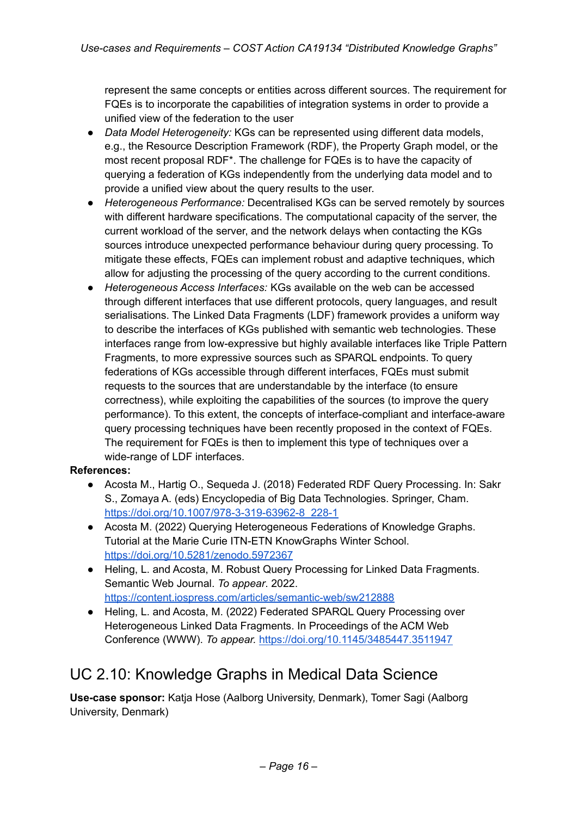represent the same concepts or entities across different sources. The requirement for FQEs is to incorporate the capabilities of integration systems in order to provide a unified view of the federation to the user

- *Data Model Heterogeneity:* KGs can be represented using different data models, e.g., the Resource Description Framework (RDF), the Property Graph model, or the most recent proposal RDF\*. The challenge for FQEs is to have the capacity of querying a federation of KGs independently from the underlying data model and to provide a unified view about the query results to the user.
- *Heterogeneous Performance:* Decentralised KGs can be served remotely by sources with different hardware specifications. The computational capacity of the server, the current workload of the server, and the network delays when contacting the KGs sources introduce unexpected performance behaviour during query processing. To mitigate these effects, FQEs can implement robust and adaptive techniques, which allow for adjusting the processing of the query according to the current conditions.
- *Heterogeneous Access Interfaces:* KGs available on the web can be accessed through different interfaces that use different protocols, query languages, and result serialisations. The Linked Data Fragments (LDF) framework provides a uniform way to describe the interfaces of KGs published with semantic web technologies. These interfaces range from low-expressive but highly available interfaces like Triple Pattern Fragments, to more expressive sources such as SPARQL endpoints. To query federations of KGs accessible through different interfaces, FQEs must submit requests to the sources that are understandable by the interface (to ensure correctness), while exploiting the capabilities of the sources (to improve the query performance). To this extent, the concepts of interface-compliant and interface-aware query processing techniques have been recently proposed in the context of FQEs. The requirement for FQEs is then to implement this type of techniques over a wide-range of LDF interfaces.

### **References:**

- Acosta M., Hartig O., Sequeda J. (2018) Federated RDF Query Processing. In: Sakr S., Zomaya A. (eds) Encyclopedia of Big Data Technologies. Springer, Cham. [https://doi.org/10.1007/978-3-319-63962-8\\_228-1](https://doi.org/10.1007/978-3-319-63962-8_228-1)
- Acosta M. (2022) Querying Heterogeneous Federations of Knowledge Graphs. Tutorial at the Marie Curie ITN-ETN KnowGraphs Winter School. <https://doi.org/10.5281/zenodo.5972367>
- Heling, L. and Acosta, M. Robust Query Processing for Linked Data Fragments. Semantic Web Journal. *To appear*. 2022[.](https://content.iospress.com/articles/semantic-web/sw212888) <https://content.iospress.com/articles/semantic-web/sw212888>
- Heling, L. and Acosta, M. (2022) Federated SPARQL Query Processing over Heterogeneous Linked Data Fragments. In Proceedings of the ACM Web Conference (WWW). *To appear.* <https://doi.org/10.1145/3485447.3511947>

### UC 2.10: Knowledge Graphs in Medical Data Science

**Use-case sponsor:** Katja Hose (Aalborg University, Denmark), Tomer Sagi (Aalborg University, Denmark)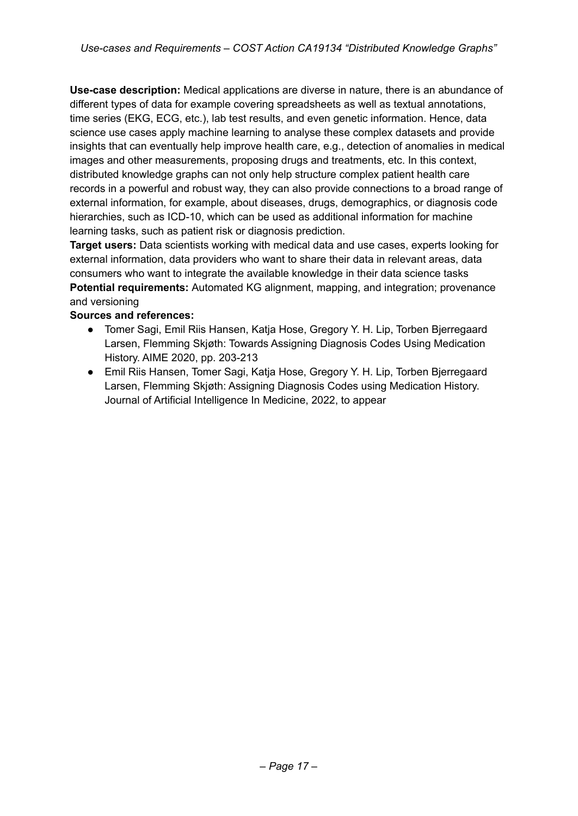**Use-case description:** Medical applications are diverse in nature, there is an abundance of different types of data for example covering spreadsheets as well as textual annotations, time series (EKG, ECG, etc.), lab test results, and even genetic information. Hence, data science use cases apply machine learning to analyse these complex datasets and provide insights that can eventually help improve health care, e.g., detection of anomalies in medical images and other measurements, proposing drugs and treatments, etc. In this context, distributed knowledge graphs can not only help structure complex patient health care records in a powerful and robust way, they can also provide connections to a broad range of external information, for example, about diseases, drugs, demographics, or diagnosis code hierarchies, such as ICD-10, which can be used as additional information for machine learning tasks, such as patient risk or diagnosis prediction.

**Target users:** Data scientists working with medical data and use cases, experts looking for external information, data providers who want to share their data in relevant areas, data consumers who want to integrate the available knowledge in their data science tasks **Potential requirements:** Automated KG alignment, mapping, and integration; provenance and versioning

### **Sources and references:**

- Tomer Sagi, Emil Riis Hansen, Katja Hose, Gregory Y. H. Lip, Torben Bjerregaard Larsen, Flemming Skjøth: Towards Assigning Diagnosis Codes Using Medication History. AIME 2020, pp. 203-213
- Emil Riis Hansen, Tomer Sagi, Katja Hose, Gregory Y. H. Lip, Torben Bjerregaard Larsen, Flemming Skjøth: Assigning Diagnosis Codes using Medication History. Journal of Artificial Intelligence In Medicine, 2022, to appear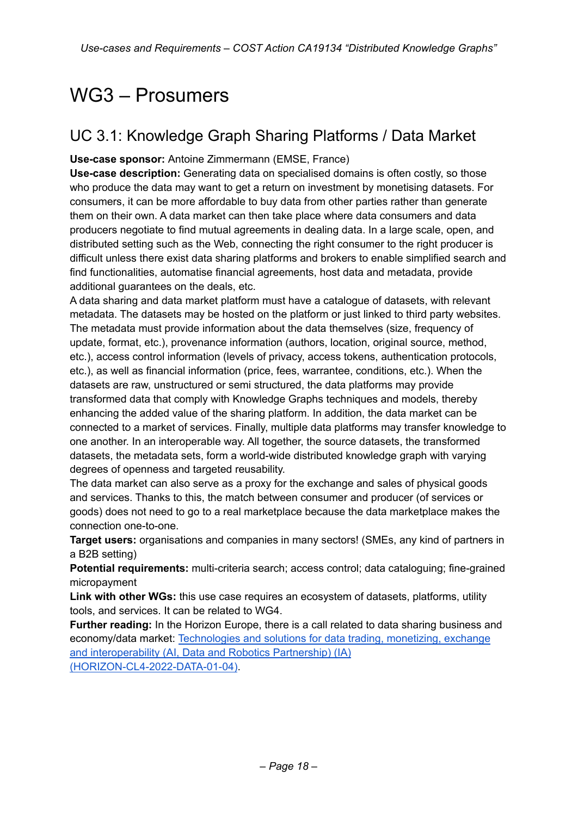# WG3 – Prosumers

# UC 3.1: Knowledge Graph Sharing Platforms / Data Market

**Use-case sponsor:** Antoine Zimmermann (EMSE, France)

**Use-case description:** Generating data on specialised domains is often costly, so those who produce the data may want to get a return on investment by monetising datasets. For consumers, it can be more affordable to buy data from other parties rather than generate them on their own. A data market can then take place where data consumers and data producers negotiate to find mutual agreements in dealing data. In a large scale, open, and distributed setting such as the Web, connecting the right consumer to the right producer is difficult unless there exist data sharing platforms and brokers to enable simplified search and find functionalities, automatise financial agreements, host data and metadata, provide additional guarantees on the deals, etc.

A data sharing and data market platform must have a catalogue of datasets, with relevant metadata. The datasets may be hosted on the platform or just linked to third party websites. The metadata must provide information about the data themselves (size, frequency of update, format, etc.), provenance information (authors, location, original source, method, etc.), access control information (levels of privacy, access tokens, authentication protocols, etc.), as well as financial information (price, fees, warrantee, conditions, etc.). When the datasets are raw, unstructured or semi structured, the data platforms may provide transformed data that comply with Knowledge Graphs techniques and models, thereby enhancing the added value of the sharing platform. In addition, the data market can be connected to a market of services. Finally, multiple data platforms may transfer knowledge to one another. In an interoperable way. All together, the source datasets, the transformed datasets, the metadata sets, form a world-wide distributed knowledge graph with varying degrees of openness and targeted reusability.

The data market can also serve as a proxy for the exchange and sales of physical goods and services. Thanks to this, the match between consumer and producer (of services or goods) does not need to go to a real marketplace because the data marketplace makes the connection one-to-one.

**Target users:** organisations and companies in many sectors! (SMEs, any kind of partners in a B2B setting)

**Potential requirements:** multi-criteria search; access control; data cataloguing; fine-grained micropayment

**Link with other WGs:** this use case requires an ecosystem of datasets, platforms, utility tools, and services. It can be related to WG4.

**Further reading:** In the Horizon Europe, there is a call related to data sharing business and economy/data market: [Technologies](https://ec.europa.eu/info/funding-tenders/opportunities/portal/screen/opportunities/topic-details/horizon-cl4-2022-data-01-04) and solutions for data trading, monetizing, exchange and [interoperability](https://ec.europa.eu/info/funding-tenders/opportunities/portal/screen/opportunities/topic-details/horizon-cl4-2022-data-01-04) (AI, Data and Robotics Partnership) (IA) [\(HORIZON-CL4-2022-DATA-01-04\)](https://ec.europa.eu/info/funding-tenders/opportunities/portal/screen/opportunities/topic-details/horizon-cl4-2022-data-01-04).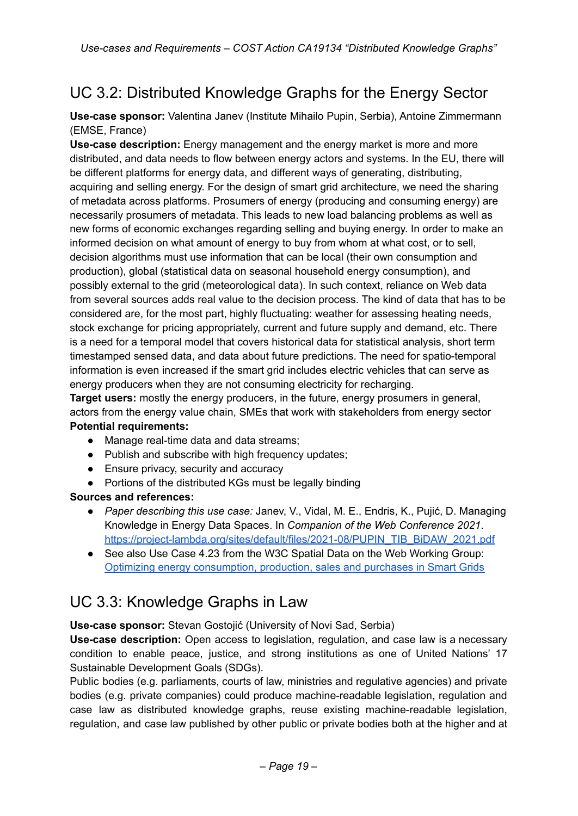# UC 3.2: Distributed Knowledge Graphs for the Energy Sector

**Use-case sponsor:** Valentina Janev (Institute Mihailo Pupin, Serbia), Antoine Zimmermann (EMSE, France)

**Use-case description:** Energy management and the energy market is more and more distributed, and data needs to flow between energy actors and systems. In the EU, there will be different platforms for energy data, and different ways of generating, distributing, acquiring and selling energy. For the design of smart grid architecture, we need the sharing of metadata across platforms. Prosumers of energy (producing and consuming energy) are necessarily prosumers of metadata. This leads to new load balancing problems as well as new forms of economic exchanges regarding selling and buying energy. In order to make an informed decision on what amount of energy to buy from whom at what cost, or to sell, decision algorithms must use information that can be local (their own consumption and production), global (statistical data on seasonal household energy consumption), and possibly external to the grid (meteorological data). In such context, reliance on Web data from several sources adds real value to the decision process. The kind of data that has to be considered are, for the most part, highly fluctuating: weather for assessing heating needs, stock exchange for pricing appropriately, current and future supply and demand, etc. There is a need for a temporal model that covers historical data for statistical analysis, short term timestamped sensed data, and data about future predictions. The need for spatio-temporal information is even increased if the smart grid includes electric vehicles that can serve as energy producers when they are not consuming electricity for recharging.

**Target users:** mostly the energy producers, in the future, energy prosumers in general, actors from the energy value chain, SMEs that work with stakeholders from energy sector **Potential requirements:**

- Manage real-time data and data streams:
- Publish and subscribe with high frequency updates;
- Ensure privacy, security and accuracy
- Portions of the distributed KGs must be legally binding

### **Sources and references:**

- *Paper describing this use case:* Janev, V., Vidal, M. E., Endris, K., Pujić, D. Managing Knowledge in Energy Data Spaces. In *Companion of the Web Conference 2021*. [https://project-lambda.org/sites/default/files/2021-08/PUPIN\\_TIB\\_BiDAW\\_2021.pdf](https://project-lambda.org/sites/default/files/2021-08/PUPIN_TIB_BiDAW_2021.pdf)
- See also Use Case 4.23 from the W3C Spatial Data on the Web Working Group: Optimizing energy [consumption,](https://www.w3.org/TR/sdw-ucr/#OptimizingEnergyConsumptionProductionSalesAndPurchasesInSmartGrids) production, sales and purchases in Smart Grids

### UC 3.3: Knowledge Graphs in Law

**Use-case sponsor:** Stevan Gostojić (University of Novi Sad, Serbia)

**Use-case description:** Open access to legislation, regulation, and case law is a necessary condition to enable peace, justice, and strong institutions as one of United Nations' 17 Sustainable Development Goals (SDGs).

Public bodies (e.g. parliaments, courts of law, ministries and regulative agencies) and private bodies (e.g. private companies) could produce machine-readable legislation, regulation and case law as distributed knowledge graphs, reuse existing machine-readable legislation, regulation, and case law published by other public or private bodies both at the higher and at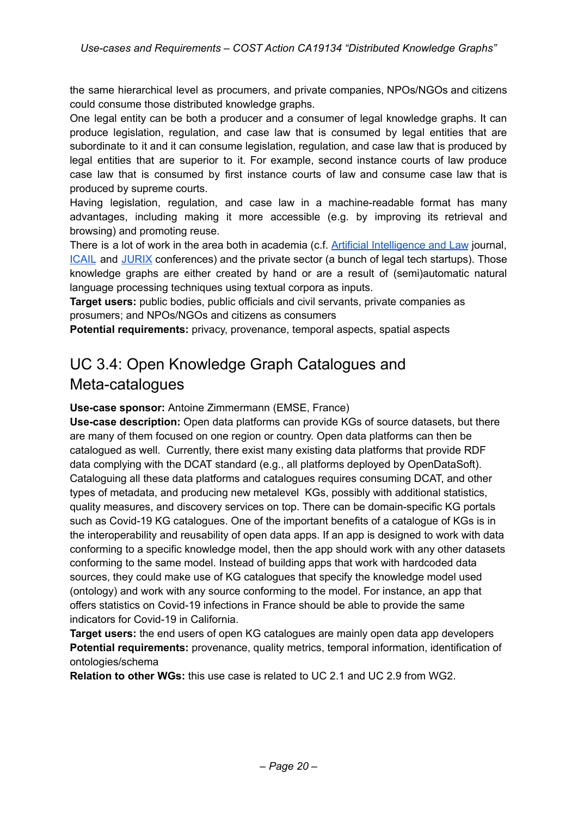the same hierarchical level as procumers, and private companies, NPOs/NGOs and citizens could consume those distributed knowledge graphs.

One legal entity can be both a producer and a consumer of legal knowledge graphs. It can produce legislation, regulation, and case law that is consumed by legal entities that are subordinate to it and it can consume legislation, regulation, and case law that is produced by legal entities that are superior to it. For example, second instance courts of law produce case law that is consumed by first instance courts of law and consume case law that is produced by supreme courts.

Having legislation, regulation, and case law in a machine-readable format has many advantages, including making it more accessible (e.g. by improving its retrieval and browsing) and promoting reuse.

There is a lot of work in the area both in academia (c.f. Artificial [Intelligence](https://www.springer.com/journal/10506) and Law journal, [ICAIL](http://www.iaail.org/) and [JURIX](http://jurix.nl/) conferences) and the private sector (a bunch of legal tech startups). Those knowledge graphs are either created by hand or are a result of (semi)automatic natural language processing techniques using textual corpora as inputs.

**Target users:** public bodies, public officials and civil servants, private companies as prosumers; and NPOs/NGOs and citizens as consumers

**Potential requirements:** privacy, provenance, temporal aspects, spatial aspects

# UC 3.4: Open Knowledge Graph Catalogues and Meta-catalogues

**Use-case sponsor:** Antoine Zimmermann (EMSE, France)

**Use-case description:** Open data platforms can provide KGs of source datasets, but there are many of them focused on one region or country. Open data platforms can then be catalogued as well. Currently, there exist many existing data platforms that provide RDF data complying with the DCAT standard (e.g., all platforms deployed by OpenDataSoft). Cataloguing all these data platforms and catalogues requires consuming DCAT, and other types of metadata, and producing new metalevel KGs, possibly with additional statistics, quality measures, and discovery services on top. There can be domain-specific KG portals such as Covid-19 KG catalogues. One of the important benefits of a catalogue of KGs is in the interoperability and reusability of open data apps. If an app is designed to work with data conforming to a specific knowledge model, then the app should work with any other datasets conforming to the same model. Instead of building apps that work with hardcoded data sources, they could make use of KG catalogues that specify the knowledge model used (ontology) and work with any source conforming to the model. For instance, an app that offers statistics on Covid-19 infections in France should be able to provide the same indicators for Covid-19 in California.

**Target users:** the end users of open KG catalogues are mainly open data app developers **Potential requirements:** provenance, quality metrics, temporal information, identification of ontologies/schema

**Relation to other WGs:** this use case is related to UC 2.1 and UC 2.9 from WG2.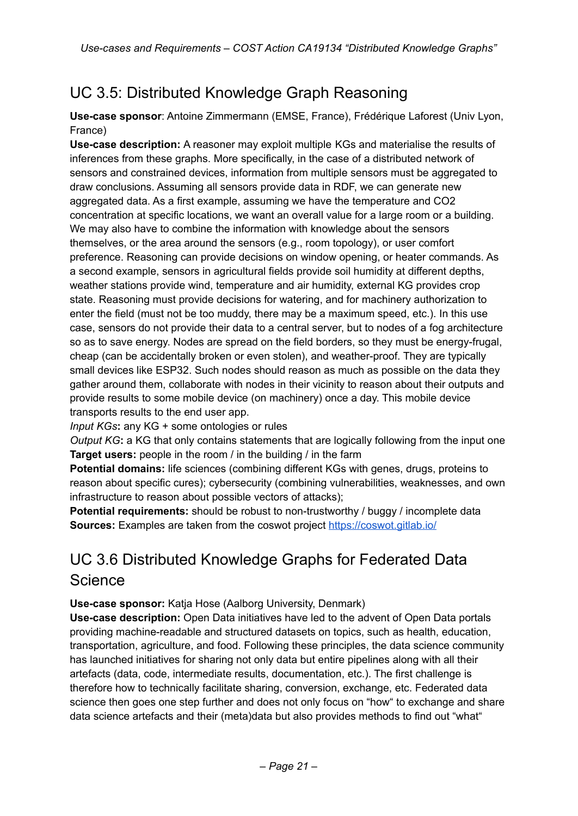# UC 3.5: Distributed Knowledge Graph Reasoning

**Use-case sponsor**: Antoine Zimmermann (EMSE, France), Frédérique Laforest (Univ Lyon, France)

**Use-case description:** A reasoner may exploit multiple KGs and materialise the results of inferences from these graphs. More specifically, in the case of a distributed network of sensors and constrained devices, information from multiple sensors must be aggregated to draw conclusions. Assuming all sensors provide data in RDF, we can generate new aggregated data. As a first example, assuming we have the temperature and CO2 concentration at specific locations, we want an overall value for a large room or a building. We may also have to combine the information with knowledge about the sensors themselves, or the area around the sensors (e.g., room topology), or user comfort preference. Reasoning can provide decisions on window opening, or heater commands. As a second example, sensors in agricultural fields provide soil humidity at different depths, weather stations provide wind, temperature and air humidity, external KG provides crop state. Reasoning must provide decisions for watering, and for machinery authorization to enter the field (must not be too muddy, there may be a maximum speed, etc.). In this use case, sensors do not provide their data to a central server, but to nodes of a fog architecture so as to save energy. Nodes are spread on the field borders, so they must be energy-frugal, cheap (can be accidentally broken or even stolen), and weather-proof. They are typically small devices like ESP32. Such nodes should reason as much as possible on the data they gather around them, collaborate with nodes in their vicinity to reason about their outputs and provide results to some mobile device (on machinery) once a day. This mobile device transports results to the end user app.

*Input KGs***:** any KG + some ontologies or rules

*Output KG***:** a KG that only contains statements that are logically following from the input one **Target users:** people in the room / in the building / in the farm

**Potential domains:** life sciences (combining different KGs with genes, drugs, proteins to reason about specific cures); cybersecurity (combining vulnerabilities, weaknesses, and own infrastructure to reason about possible vectors of attacks);

**Potential requirements:** should be robust to non-trustworthy / buggy / incomplete data **Sources:** Examples are taken from the coswot project <https://coswot.gitlab.io/>

# UC 3.6 Distributed Knowledge Graphs for Federated Data Science

**Use-case sponsor:** Katja Hose (Aalborg University, Denmark)

**Use-case description:** Open Data initiatives have led to the advent of Open Data portals providing machine-readable and structured datasets on topics, such as health, education, transportation, agriculture, and food. Following these principles, the data science community has launched initiatives for sharing not only data but entire pipelines along with all their artefacts (data, code, intermediate results, documentation, etc.). The first challenge is therefore how to technically facilitate sharing, conversion, exchange, etc. Federated data science then goes one step further and does not only focus on "how" to exchange and share data science artefacts and their (meta)data but also provides methods to find out "what"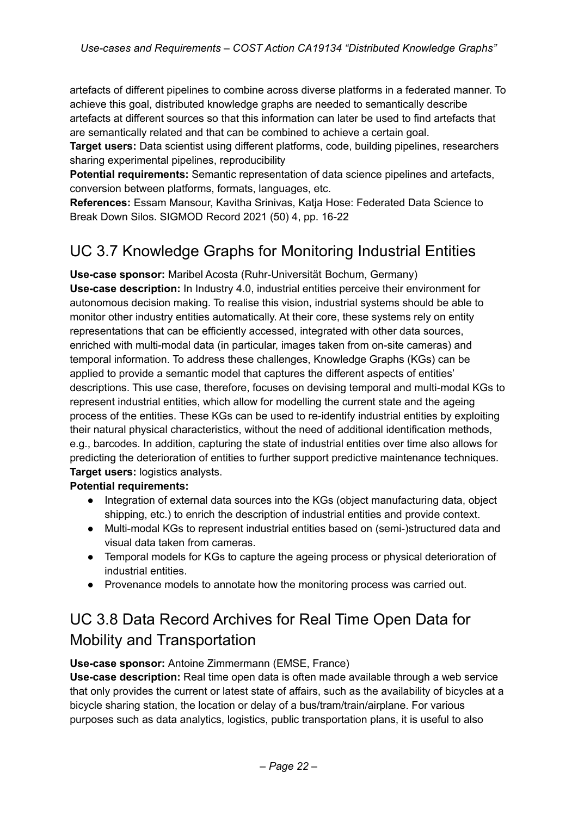artefacts of different pipelines to combine across diverse platforms in a federated manner. To achieve this goal, distributed knowledge graphs are needed to semantically describe artefacts at different sources so that this information can later be used to find artefacts that are semantically related and that can be combined to achieve a certain goal.

**Target users:** Data scientist using different platforms, code, building pipelines, researchers sharing experimental pipelines, reproducibility

**Potential requirements:** Semantic representation of data science pipelines and artefacts, conversion between platforms, formats, languages, etc.

**References:** Essam Mansour, Kavitha Srinivas, Katja Hose: Federated Data Science to Break Down Silos. SIGMOD Record 2021 (50) 4, pp. 16-22

## UC 3.7 Knowledge Graphs for Monitoring Industrial Entities

**Use-case sponsor:** Maribel Acosta (Ruhr-Universität Bochum, Germany) **Use-case description:** In Industry 4.0, industrial entities perceive their environment for autonomous decision making. To realise this vision, industrial systems should be able to monitor other industry entities automatically. At their core, these systems rely on entity representations that can be efficiently accessed, integrated with other data sources, enriched with multi-modal data (in particular, images taken from on-site cameras) and temporal information. To address these challenges, Knowledge Graphs (KGs) can be applied to provide a semantic model that captures the different aspects of entities' descriptions. This use case, therefore, focuses on devising temporal and multi-modal KGs to represent industrial entities, which allow for modelling the current state and the ageing process of the entities. These KGs can be used to re-identify industrial entities by exploiting their natural physical characteristics, without the need of additional identification methods, e.g., barcodes. In addition, capturing the state of industrial entities over time also allows for predicting the deterioration of entities to further support predictive maintenance techniques. **Target users:** logistics analysts.

### **Potential requirements:**

- Integration of external data sources into the KGs (object manufacturing data, object shipping, etc.) to enrich the description of industrial entities and provide context.
- Multi-modal KGs to represent industrial entities based on (semi-)structured data and visual data taken from cameras.
- Temporal models for KGs to capture the ageing process or physical deterioration of industrial entities.
- Provenance models to annotate how the monitoring process was carried out.

# UC 3.8 Data Record Archives for Real Time Open Data for Mobility and Transportation

### **Use-case sponsor:** Antoine Zimmermann (EMSE, France)

**Use-case description:** Real time open data is often made available through a web service that only provides the current or latest state of affairs, such as the availability of bicycles at a bicycle sharing station, the location or delay of a bus/tram/train/airplane. For various purposes such as data analytics, logistics, public transportation plans, it is useful to also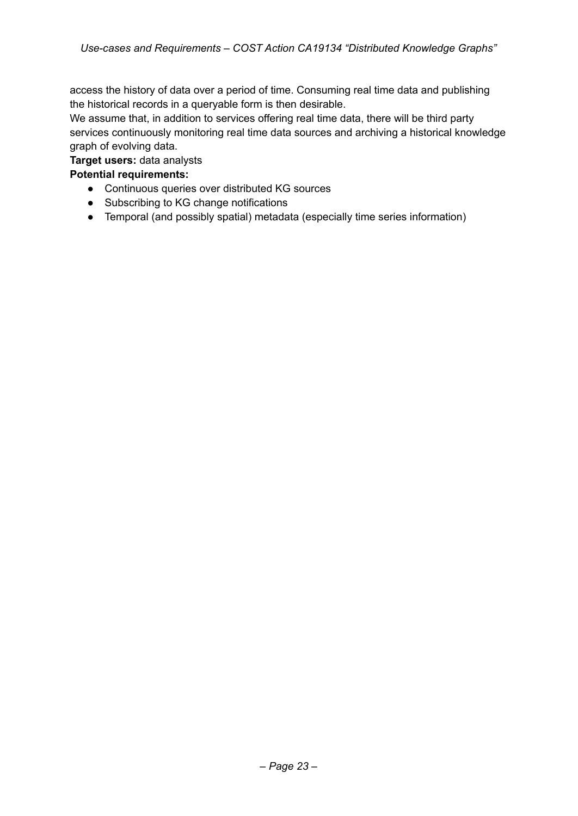access the history of data over a period of time. Consuming real time data and publishing the historical records in a queryable form is then desirable.

We assume that, in addition to services offering real time data, there will be third party services continuously monitoring real time data sources and archiving a historical knowledge graph of evolving data.

#### **Target users:** data analysts

### **Potential requirements:**

- Continuous queries over distributed KG sources
- Subscribing to KG change notifications
- Temporal (and possibly spatial) metadata (especially time series information)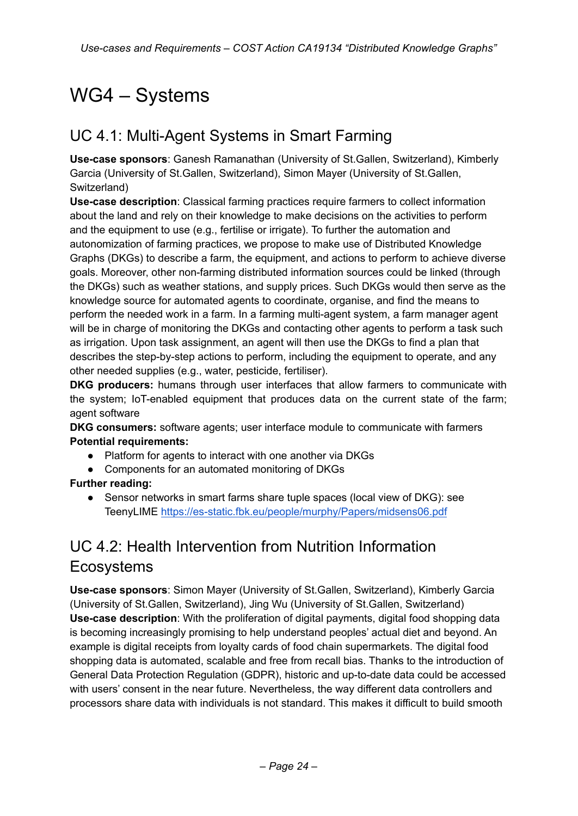# WG4 – Systems

### UC 4.1: Multi-Agent Systems in Smart Farming

**Use-case sponsors**: Ganesh Ramanathan (University of St.Gallen, Switzerland), Kimberly Garcia (University of St.Gallen, Switzerland), Simon Mayer (University of St.Gallen, Switzerland)

**Use-case description**: Classical farming practices require farmers to collect information about the land and rely on their knowledge to make decisions on the activities to perform and the equipment to use (e.g., fertilise or irrigate). To further the automation and autonomization of farming practices, we propose to make use of Distributed Knowledge Graphs (DKGs) to describe a farm, the equipment, and actions to perform to achieve diverse goals. Moreover, other non-farming distributed information sources could be linked (through the DKGs) such as weather stations, and supply prices. Such DKGs would then serve as the knowledge source for automated agents to coordinate, organise, and find the means to perform the needed work in a farm. In a farming multi-agent system, a farm manager agent will be in charge of monitoring the DKGs and contacting other agents to perform a task such as irrigation. Upon task assignment, an agent will then use the DKGs to find a plan that describes the step-by-step actions to perform, including the equipment to operate, and any other needed supplies (e.g., water, pesticide, fertiliser).

**DKG producers:** humans through user interfaces that allow farmers to communicate with the system; IoT-enabled equipment that produces data on the current state of the farm; agent software

**DKG consumers:** software agents; user interface module to communicate with farmers **Potential requirements:**

- Platform for agents to interact with one another via DKGs
- Components for an automated monitoring of DKGs

### **Further reading:**

Sensor networks in smart farms share tuple spaces (local view of DKG): see TeenyLIME <https://es-static.fbk.eu/people/murphy/Papers/midsens06.pdf>

# UC 4.2: Health Intervention from Nutrition Information Ecosystems

**Use-case sponsors**: Simon Mayer (University of St.Gallen, Switzerland), Kimberly Garcia (University of St.Gallen, Switzerland), Jing Wu (University of St.Gallen, Switzerland) **Use-case description**: With the proliferation of digital payments, digital food shopping data is becoming increasingly promising to help understand peoples' actual diet and beyond. An example is digital receipts from loyalty cards of food chain supermarkets. The digital food shopping data is automated, scalable and free from recall bias. Thanks to the introduction of General Data Protection Regulation (GDPR), historic and up-to-date data could be accessed with users' consent in the near future. Nevertheless, the way different data controllers and processors share data with individuals is not standard. This makes it difficult to build smooth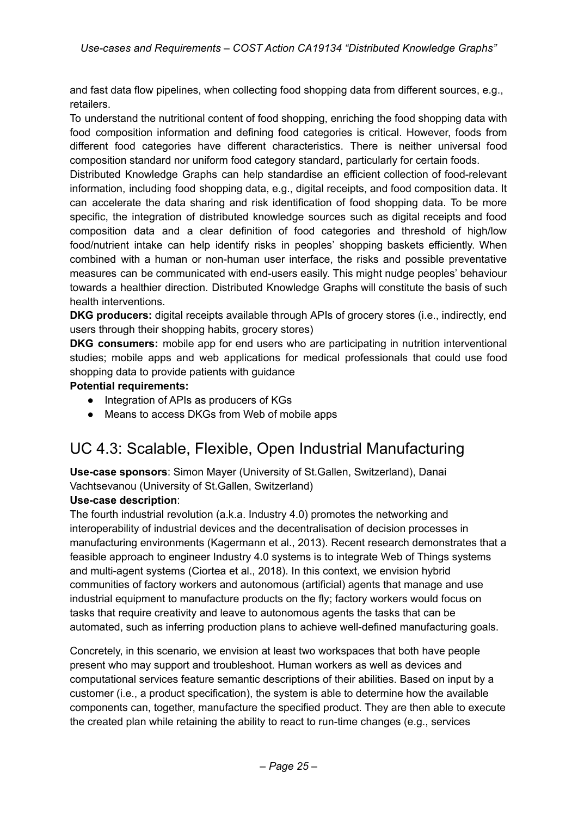and fast data flow pipelines, when collecting food shopping data from different sources, e.g., retailers.

To understand the nutritional content of food shopping, enriching the food shopping data with food composition information and defining food categories is critical. However, foods from different food categories have different characteristics. There is neither universal food composition standard nor uniform food category standard, particularly for certain foods.

Distributed Knowledge Graphs can help standardise an efficient collection of food-relevant information, including food shopping data, e.g., digital receipts, and food composition data. It can accelerate the data sharing and risk identification of food shopping data. To be more specific, the integration of distributed knowledge sources such as digital receipts and food composition data and a clear definition of food categories and threshold of high/low food/nutrient intake can help identify risks in peoples' shopping baskets efficiently. When combined with a human or non-human user interface, the risks and possible preventative measures can be communicated with end-users easily. This might nudge peoples' behaviour towards a healthier direction. Distributed Knowledge Graphs will constitute the basis of such health interventions.

**DKG producers:** digital receipts available through APIs of grocery stores (i.e., indirectly, end users through their shopping habits, grocery stores)

**DKG consumers:** mobile app for end users who are participating in nutrition interventional studies; mobile apps and web applications for medical professionals that could use food shopping data to provide patients with guidance

### **Potential requirements:**

- Integration of APIs as producers of KGs
- Means to access DKGs from Web of mobile apps

### UC 4.3: Scalable, Flexible, Open Industrial Manufacturing

**Use-case sponsors**: Simon Mayer (University of St.Gallen, Switzerland), Danai Vachtsevanou (University of St.Gallen, Switzerland)

### **Use-case description**:

The fourth industrial revolution (a.k.a. Industry 4.0) promotes the networking and interoperability of industrial devices and the decentralisation of decision processes in manufacturing environments (Kagermann et al., 2013). Recent research demonstrates that a feasible approach to engineer Industry 4.0 systems is to integrate Web of Things systems and multi-agent systems (Ciortea et al., 2018). In this context, we envision hybrid communities of factory workers and autonomous (artificial) agents that manage and use industrial equipment to manufacture products on the fly; factory workers would focus on tasks that require creativity and leave to autonomous agents the tasks that can be automated, such as inferring production plans to achieve well-defined manufacturing goals.

Concretely, in this scenario, we envision at least two workspaces that both have people present who may support and troubleshoot. Human workers as well as devices and computational services feature semantic descriptions of their abilities. Based on input by a customer (i.e., a product specification), the system is able to determine how the available components can, together, manufacture the specified product. They are then able to execute the created plan while retaining the ability to react to run-time changes (e.g., services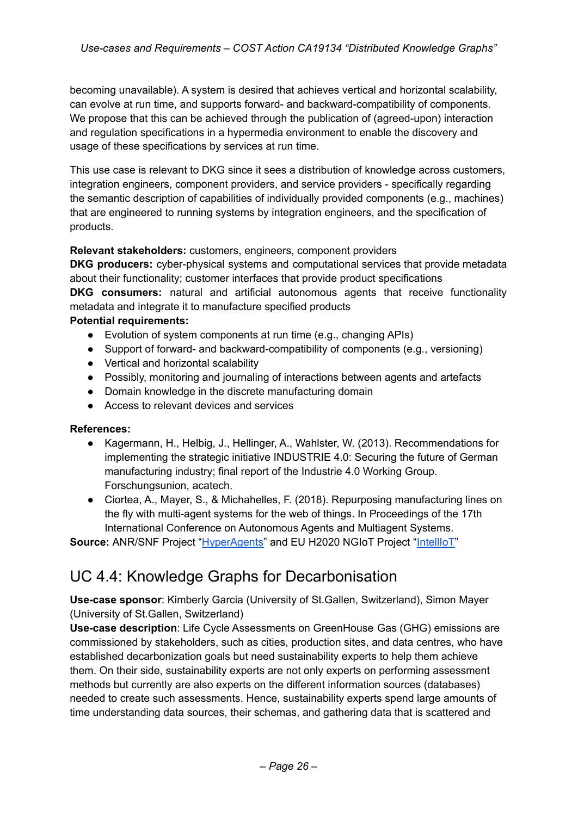becoming unavailable). A system is desired that achieves vertical and horizontal scalability, can evolve at run time, and supports forward- and backward-compatibility of components. We propose that this can be achieved through the publication of (agreed-upon) interaction and regulation specifications in a hypermedia environment to enable the discovery and usage of these specifications by services at run time.

This use case is relevant to DKG since it sees a distribution of knowledge across customers, integration engineers, component providers, and service providers - specifically regarding the semantic description of capabilities of individually provided components (e.g., machines) that are engineered to running systems by integration engineers, and the specification of products.

### **Relevant stakeholders:** customers, engineers, component providers

**DKG producers:** cyber-physical systems and computational services that provide metadata about their functionality; customer interfaces that provide product specifications **DKG consumers:** natural and artificial autonomous agents that receive functionality metadata and integrate it to manufacture specified products

### **Potential requirements:**

- Evolution of system components at run time (e.g., changing APIs)
- Support of forward- and backward-compatibility of components (e.g., versioning)
- Vertical and horizontal scalability
- Possibly, monitoring and journaling of interactions between agents and artefacts
- Domain knowledge in the discrete manufacturing domain
- Access to relevant devices and services

### **References:**

- Kagermann, H., Helbig, J., Hellinger, A., Wahlster, W. (2013). Recommendations for implementing the strategic initiative INDUSTRIE 4.0: Securing the future of German manufacturing industry; final report of the Industrie 4.0 Working Group. Forschungsunion, acatech.
- Ciortea, A., Mayer, S., & Michahelles, F. (2018). Repurposing manufacturing lines on the fly with multi-agent systems for the web of things. In Proceedings of the 17th International Conference on Autonomous Agents and Multiagent Systems.

**Source:** ANR/SNF Project ["HyperAgents"](https://p3.snf.ch/project-189474) and EU H2020 NGIoT Project "[IntellIoT](https://cordis.europa.eu/project/id/957218)"

### UC 4.4: Knowledge Graphs for Decarbonisation

**Use-case sponsor**: Kimberly Garcia (University of St.Gallen, Switzerland), Simon Mayer (University of St.Gallen, Switzerland)

**Use-case description**: Life Cycle Assessments on GreenHouse Gas (GHG) emissions are commissioned by stakeholders, such as cities, production sites, and data centres, who have established decarbonization goals but need sustainability experts to help them achieve them. On their side, sustainability experts are not only experts on performing assessment methods but currently are also experts on the different information sources (databases) needed to create such assessments. Hence, sustainability experts spend large amounts of time understanding data sources, their schemas, and gathering data that is scattered and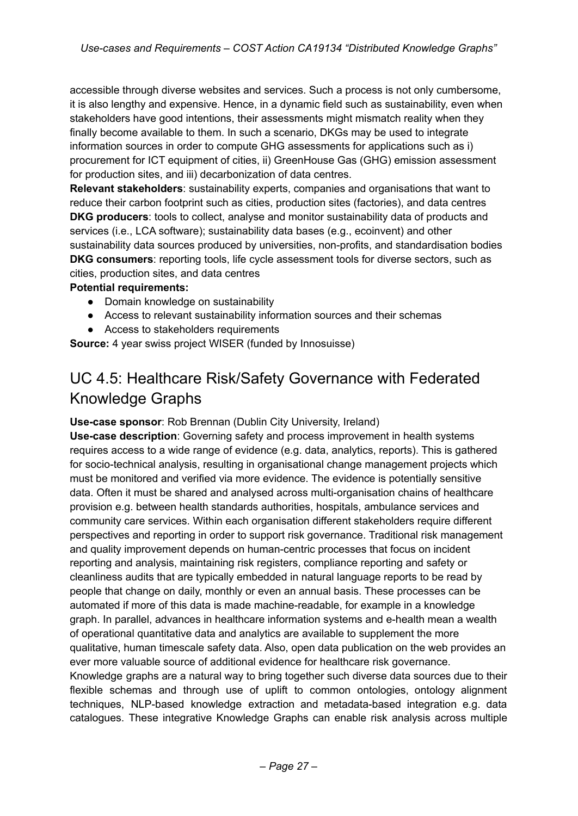accessible through diverse websites and services. Such a process is not only cumbersome, it is also lengthy and expensive. Hence, in a dynamic field such as sustainability, even when stakeholders have good intentions, their assessments might mismatch reality when they finally become available to them. In such a scenario, DKGs may be used to integrate information sources in order to compute GHG assessments for applications such as i) procurement for ICT equipment of cities, ii) GreenHouse Gas (GHG) emission assessment for production sites, and iii) decarbonization of data centres.

**Relevant stakeholders**: sustainability experts, companies and organisations that want to reduce their carbon footprint such as cities, production sites (factories), and data centres **DKG producers**: tools to collect, analyse and monitor sustainability data of products and services (i.e., LCA software); sustainability data bases (e.g., ecoinvent) and other sustainability data sources produced by universities, non-profits, and standardisation bodies **DKG consumers**: reporting tools, life cycle assessment tools for diverse sectors, such as cities, production sites, and data centres

### **Potential requirements:**

- Domain knowledge on sustainability
- Access to relevant sustainability information sources and their schemas
- Access to stakeholders requirements

**Source:** 4 year swiss project WISER (funded by Innosuisse)

## UC 4.5: Healthcare Risk/Safety Governance with Federated Knowledge Graphs

### **Use-case sponsor**: Rob Brennan (Dublin City University, Ireland)

**Use-case description**: Governing safety and process improvement in health systems requires access to a wide range of evidence (e.g. data, analytics, reports). This is gathered for socio-technical analysis, resulting in organisational change management projects which must be monitored and verified via more evidence. The evidence is potentially sensitive data. Often it must be shared and analysed across multi-organisation chains of healthcare provision e.g. between health standards authorities, hospitals, ambulance services and community care services. Within each organisation different stakeholders require different perspectives and reporting in order to support risk governance. Traditional risk management and quality improvement depends on human-centric processes that focus on incident reporting and analysis, maintaining risk registers, compliance reporting and safety or cleanliness audits that are typically embedded in natural language reports to be read by people that change on daily, monthly or even an annual basis. These processes can be automated if more of this data is made machine-readable, for example in a knowledge graph. In parallel, advances in healthcare information systems and e-health mean a wealth of operational quantitative data and analytics are available to supplement the more qualitative, human timescale safety data. Also, open data publication on the web provides an ever more valuable source of additional evidence for healthcare risk governance. Knowledge graphs are a natural way to bring together such diverse data sources due to their flexible schemas and through use of uplift to common ontologies, ontology alignment techniques, NLP-based knowledge extraction and metadata-based integration e.g. data catalogues. These integrative Knowledge Graphs can enable risk analysis across multiple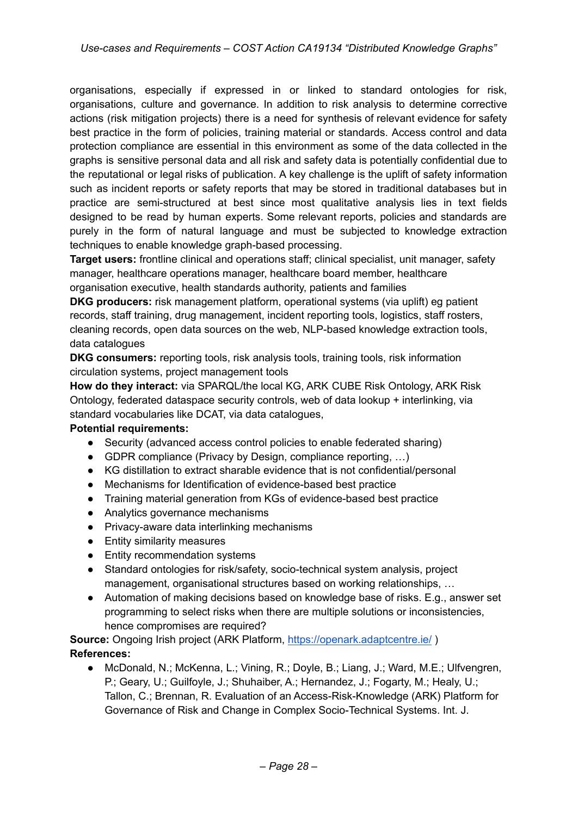organisations, especially if expressed in or linked to standard ontologies for risk, organisations, culture and governance. In addition to risk analysis to determine corrective actions (risk mitigation projects) there is a need for synthesis of relevant evidence for safety best practice in the form of policies, training material or standards. Access control and data protection compliance are essential in this environment as some of the data collected in the graphs is sensitive personal data and all risk and safety data is potentially confidential due to the reputational or legal risks of publication. A key challenge is the uplift of safety information such as incident reports or safety reports that may be stored in traditional databases but in practice are semi-structured at best since most qualitative analysis lies in text fields designed to be read by human experts. Some relevant reports, policies and standards are purely in the form of natural language and must be subjected to knowledge extraction techniques to enable knowledge graph-based processing.

**Target users:** frontline clinical and operations staff; clinical specialist, unit manager, safety manager, healthcare operations manager, healthcare board member, healthcare organisation executive, health standards authority, patients and families

**DKG producers:** risk management platform, operational systems (via uplift) eg patient records, staff training, drug management, incident reporting tools, logistics, staff rosters, cleaning records, open data sources on the web, NLP-based knowledge extraction tools, data catalogues

**DKG consumers:** reporting tools, risk analysis tools, training tools, risk information circulation systems, project management tools

**How do they interact:** via SPARQL/the local KG, ARK CUBE Risk Ontology, ARK Risk Ontology, federated dataspace security controls, web of data lookup + interlinking, via standard vocabularies like DCAT, via data catalogues,

#### **Potential requirements:**

- Security (advanced access control policies to enable federated sharing)
- GDPR compliance (Privacy by Design, compliance reporting, ...)
- KG distillation to extract sharable evidence that is not confidential/personal
- Mechanisms for Identification of evidence-based best practice
- Training material generation from KGs of evidence-based best practice
- Analytics governance mechanisms
- Privacy-aware data interlinking mechanisms
- Entity similarity measures
- Entity recommendation systems
- Standard ontologies for risk/safety, socio-technical system analysis, project management, organisational structures based on working relationships, …
- Automation of making decisions based on knowledge base of risks. E.g., answer set programming to select risks when there are multiple solutions or inconsistencies, hence compromises are required?

**Source:** Ongoing Irish project (ARK Platform, <https://openark.adaptcentre.ie/>) **References:**

● McDonald, N.; McKenna, L.; Vining, R.; Doyle, B.; Liang, J.; Ward, M.E.; Ulfvengren, P.; Geary, U.; Guilfoyle, J.; Shuhaiber, A.; Hernandez, J.; Fogarty, M.; Healy, U.; Tallon, C.; Brennan, R. Evaluation of an Access-Risk-Knowledge (ARK) Platform for Governance of Risk and Change in Complex Socio-Technical Systems. Int. J.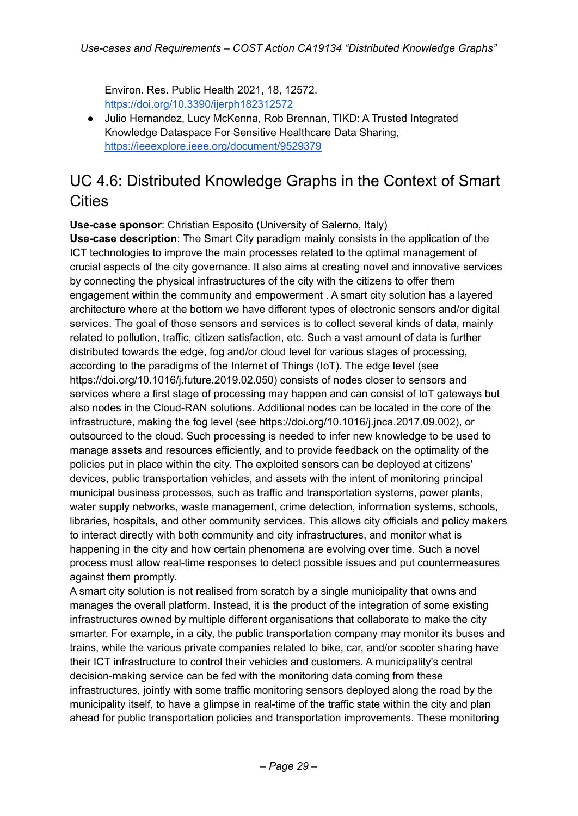Environ. Res. Public Health 2021, 18, 12572. <https://doi.org/10.3390/ijerph182312572>

● Julio Hernandez, Lucy McKenna, Rob Brennan, TIKD: A Trusted Integrated Knowledge Dataspace For Sensitive Healthcare Data Sharing, <https://ieeexplore.ieee.org/document/9529379>

## UC 4.6: Distributed Knowledge Graphs in the Context of Smart **Cities**

**Use-case sponsor**: Christian Esposito (University of Salerno, Italy)

**Use-case description**: The Smart City paradigm mainly consists in the application of the ICT technologies to improve the main processes related to the optimal management of crucial aspects of the city governance. It also aims at creating novel and innovative services by connecting the physical infrastructures of the city with the citizens to offer them engagement within the community and empowerment . A smart city solution has a layered architecture where at the bottom we have different types of electronic sensors and/or digital services. The goal of those sensors and services is to collect several kinds of data, mainly related to pollution, traffic, citizen satisfaction, etc. Such a vast amount of data is further distributed towards the edge, fog and/or cloud level for various stages of processing, according to the paradigms of the Internet of Things (IoT). The edge level (see https://doi.org/10.1016/j.future.2019.02.050) consists of nodes closer to sensors and services where a first stage of processing may happen and can consist of IoT gateways but also nodes in the Cloud-RAN solutions. Additional nodes can be located in the core of the infrastructure, making the fog level (see https://doi.org/10.1016/j.jnca.2017.09.002), or outsourced to the cloud. Such processing is needed to infer new knowledge to be used to manage assets and resources efficiently, and to provide feedback on the optimality of the policies put in place within the city. The exploited sensors can be deployed at citizens' devices, public transportation vehicles, and assets with the intent of monitoring principal municipal business processes, such as traffic and transportation systems, power plants, water supply networks, waste management, crime detection, information systems, schools, libraries, hospitals, and other community services. This allows city officials and policy makers to interact directly with both community and city infrastructures, and monitor what is happening in the city and how certain phenomena are evolving over time. Such a novel process must allow real-time responses to detect possible issues and put countermeasures against them promptly.

A smart city solution is not realised from scratch by a single municipality that owns and manages the overall platform. Instead, it is the product of the integration of some existing infrastructures owned by multiple different organisations that collaborate to make the city smarter. For example, in a city, the public transportation company may monitor its buses and trains, while the various private companies related to bike, car, and/or scooter sharing have their ICT infrastructure to control their vehicles and customers. A municipality's central decision-making service can be fed with the monitoring data coming from these infrastructures, jointly with some traffic monitoring sensors deployed along the road by the municipality itself, to have a glimpse in real-time of the traffic state within the city and plan ahead for public transportation policies and transportation improvements. These monitoring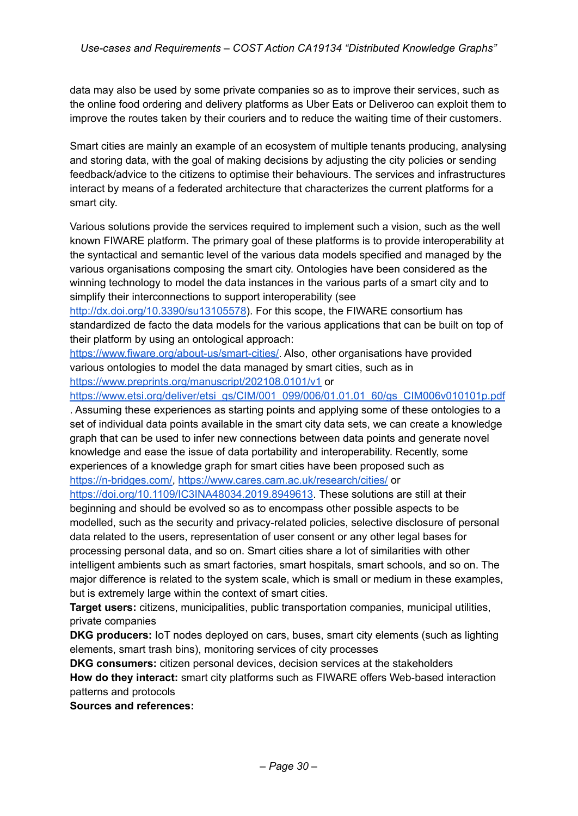data may also be used by some private companies so as to improve their services, such as the online food ordering and delivery platforms as Uber Eats or Deliveroo can exploit them to improve the routes taken by their couriers and to reduce the waiting time of their customers.

Smart cities are mainly an example of an ecosystem of multiple tenants producing, analysing and storing data, with the goal of making decisions by adjusting the city policies or sending feedback/advice to the citizens to optimise their behaviours. The services and infrastructures interact by means of a federated architecture that characterizes the current platforms for a smart city.

Various solutions provide the services required to implement such a vision, such as the well known FIWARE platform. The primary goal of these platforms is to provide interoperability at the syntactical and semantic level of the various data models specified and managed by the various organisations composing the smart city. Ontologies have been considered as the winning technology to model the data instances in the various parts of a smart city and to simplify their interconnections to support interoperability (see

<http://dx.doi.org/10.3390/su13105578>). For this scope, the FIWARE consortium has standardized de facto the data models for the various applications that can be built on top of their platform by using an ontological approach:

[https://www.fiware.org/about-us/smart-cities/.](https://www.fiware.org/about-us/smart-cities/) Also, other organisations have provided various ontologies to model the data managed by smart cities, such as in <https://www.preprints.org/manuscript/202108.0101/v1> or

[https://www.etsi.org/deliver/etsi\\_gs/CIM/001\\_099/006/01.01.01\\_60/gs\\_CIM006v010101p.pdf](https://www.etsi.org/deliver/etsi_gs/CIM/001_099/006/01.01.01_60/gs_CIM006v010101p.pdf)

. Assuming these experiences as starting points and applying some of these ontologies to a set of individual data points available in the smart city data sets, we can create a knowledge graph that can be used to infer new connections between data points and generate novel knowledge and ease the issue of data portability and interoperability. Recently, some experiences of a knowledge graph for smart cities have been proposed such as [https://n-bridges.com/,](https://n-bridges.com/) <https://www.cares.cam.ac.uk/research/cities/> or

[https://doi.org/10.1109/IC3INA48034.2019.8949613.](https://doi.org/10.1109/IC3INA48034.2019.8949613) These solutions are still at their beginning and should be evolved so as to encompass other possible aspects to be modelled, such as the security and privacy-related policies, selective disclosure of personal data related to the users, representation of user consent or any other legal bases for processing personal data, and so on. Smart cities share a lot of similarities with other intelligent ambients such as smart factories, smart hospitals, smart schools, and so on. The major difference is related to the system scale, which is small or medium in these examples, but is extremely large within the context of smart cities.

**Target users:** citizens, municipalities, public transportation companies, municipal utilities, private companies

**DKG producers:** IoT nodes deployed on cars, buses, smart city elements (such as lighting elements, smart trash bins), monitoring services of city processes

**DKG consumers:** citizen personal devices, decision services at the stakeholders **How do they interact:** smart city platforms such as FIWARE offers Web-based interaction patterns and protocols

**Sources and references:**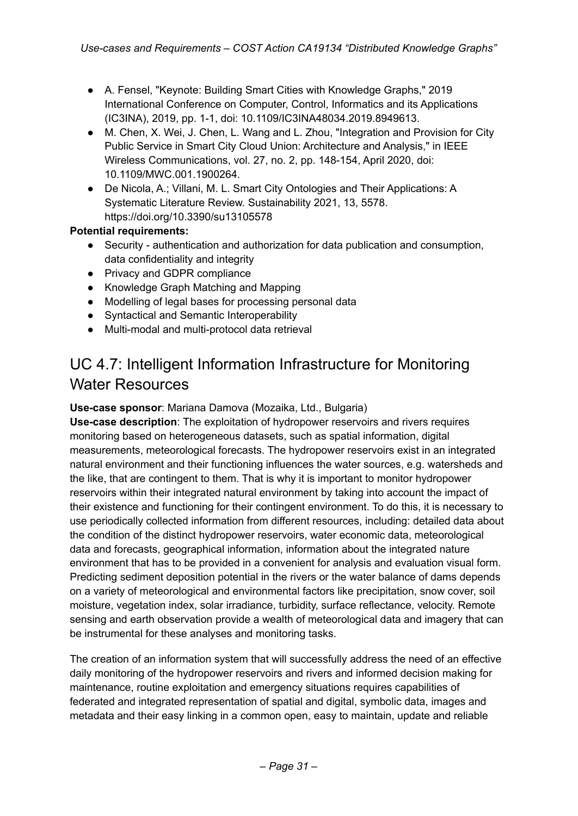- A. Fensel, "Keynote: Building Smart Cities with Knowledge Graphs," 2019 International Conference on Computer, Control, Informatics and its Applications (IC3INA), 2019, pp. 1-1, doi: 10.1109/IC3INA48034.2019.8949613.
- M. Chen, X. Wei, J. Chen, L. Wang and L. Zhou, "Integration and Provision for City Public Service in Smart City Cloud Union: Architecture and Analysis," in IEEE Wireless Communications, vol. 27, no. 2, pp. 148-154, April 2020, doi: 10.1109/MWC.001.1900264.
- De Nicola, A.; Villani, M. L. Smart City Ontologies and Their Applications: A Systematic Literature Review. Sustainability 2021, 13, 5578. https://doi.org/10.3390/su13105578

### **Potential requirements:**

- Security authentication and authorization for data publication and consumption, data confidentiality and integrity
- Privacy and GDPR compliance
- Knowledge Graph Matching and Mapping
- Modelling of legal bases for processing personal data
- Syntactical and Semantic Interoperability
- Multi-modal and multi-protocol data retrieval

# UC 4.7: Intelligent Information Infrastructure for Monitoring Water Resources

### **Use-case sponsor**: Mariana Damova (Mozaika, Ltd., Bulgaria)

**Use-case description**: The exploitation of hydropower reservoirs and rivers requires monitoring based on heterogeneous datasets, such as spatial information, digital measurements, meteorological forecasts. The hydropower reservoirs exist in an integrated natural environment and their functioning influences the water sources, e.g. watersheds and the like, that are contingent to them. That is why it is important to monitor hydropower reservoirs within their integrated natural environment by taking into account the impact of their existence and functioning for their contingent environment. To do this, it is necessary to use periodically collected information from different resources, including: detailed data about the condition of the distinct hydropower reservoirs, water economic data, meteorological data and forecasts, geographical information, information about the integrated nature environment that has to be provided in a convenient for analysis and evaluation visual form. Predicting sediment deposition potential in the rivers or the water balance of dams depends on a variety of meteorological and environmental factors like precipitation, snow cover, soil moisture, vegetation index, solar irradiance, turbidity, surface reflectance, velocity. Remote sensing and earth observation provide a wealth of meteorological data and imagery that can be instrumental for these analyses and monitoring tasks.

The creation of an information system that will successfully address the need of an effective daily monitoring of the hydropower reservoirs and rivers and informed decision making for maintenance, routine exploitation and emergency situations requires capabilities of federated and integrated representation of spatial and digital, symbolic data, images and metadata and their easy linking in a common open, easy to maintain, update and reliable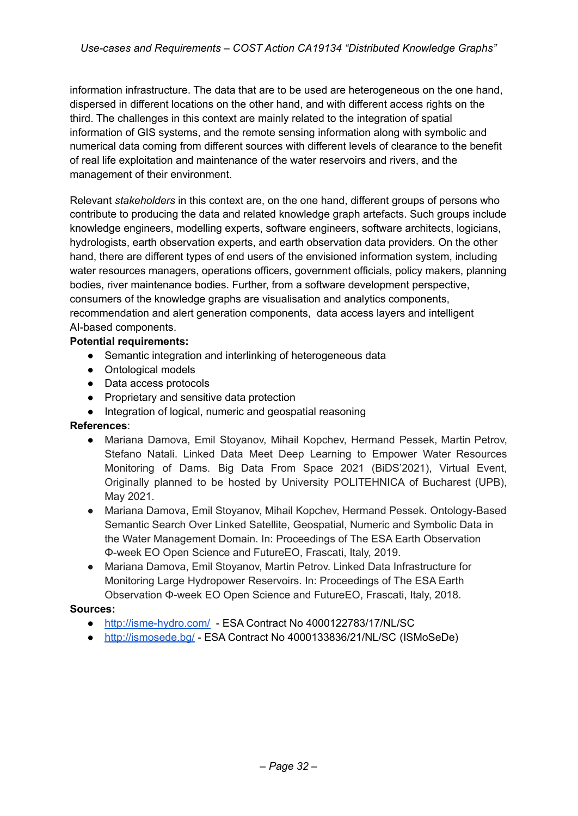information infrastructure. The data that are to be used are heterogeneous on the one hand, dispersed in different locations on the other hand, and with different access rights on the third. The challenges in this context are mainly related to the integration of spatial information of GIS systems, and the remote sensing information along with symbolic and numerical data coming from different sources with different levels of clearance to the benefit of real life exploitation and maintenance of the water reservoirs and rivers, and the management of their environment.

Relevant *stakeholders* in this context are, on the one hand, different groups of persons who contribute to producing the data and related knowledge graph artefacts. Such groups include knowledge engineers, modelling experts, software engineers, software architects, logicians, hydrologists, earth observation experts, and earth observation data providers. On the other hand, there are different types of end users of the envisioned information system, including water resources managers, operations officers, government officials, policy makers, planning bodies, river maintenance bodies. Further, from a software development perspective, consumers of the knowledge graphs are visualisation and analytics components, recommendation and alert generation components, data access layers and intelligent AI-based components.

### **Potential requirements:**

- **●** Semantic integration and interlinking of heterogeneous data
- Ontological models
- Data access protocols
- Proprietary and sensitive data protection
- Integration of logical, numeric and geospatial reasoning

### **References**:

- Mariana Damova, Emil Stoyanov, Mihail Kopchev, Hermand Pessek, Martin Petrov, Stefano Natali. Linked Data Meet Deep Learning to Empower Water Resources Monitoring of Dams. Big Data From Space 2021 (BiDS'2021), Virtual Event, Originally planned to be hosted by University POLITEHNICA of Bucharest (UPB), May 2021.
- Mariana Damova, Emil Stoyanov, Mihail Kopchev, Hermand Pessek. Ontology-Based Semantic Search Over Linked Satellite, Geospatial, Numeric and Symbolic Data in the Water Management Domain. In: Proceedings of The ESA Earth Observation Φ-week EO Open Science and FutureEO, Frascati, Italy, 2019.
- Mariana Damova, Emil Stoyanov, Martin Petrov. Linked Data Infrastructure for Monitoring Large Hydropower Reservoirs. In: Proceedings of The ESA Earth Observation Φ-week EO Open Science and FutureEO, Frascati, Italy, 2018.

### **Sources:**

- [http://isme-hydro.com/](http://isme-hydro.com) ESA Contract No 4000122783/17/NL/SC
- [http://ismosede.bg/](http://ismosede.bg) ESA Contract No 4000133836/21/NL/SC (ISMoSeDe)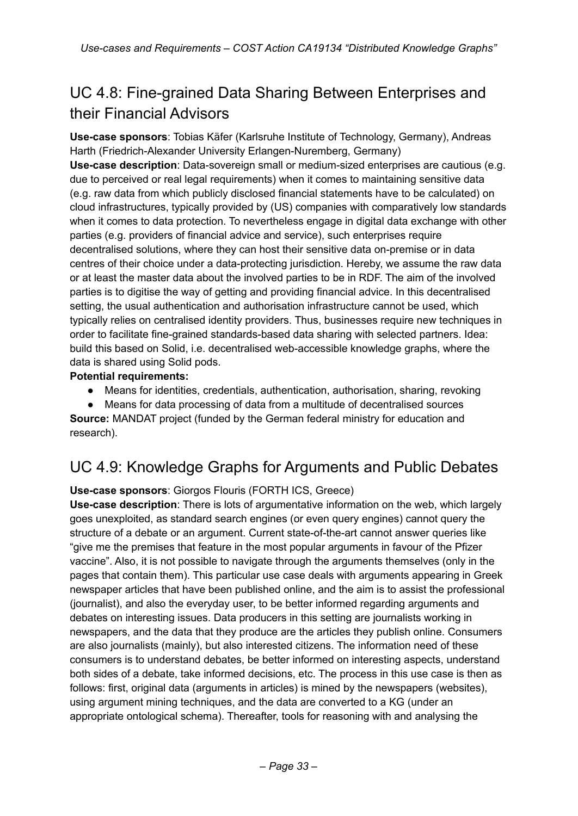# UC 4.8: Fine-grained Data Sharing Between Enterprises and their Financial Advisors

**Use-case sponsors**: Tobias Käfer (Karlsruhe Institute of Technology, Germany), Andreas Harth (Friedrich-Alexander University Erlangen-Nuremberg, Germany) **Use-case description**: Data-sovereign small or medium-sized enterprises are cautious (e.g. due to perceived or real legal requirements) when it comes to maintaining sensitive data (e.g. raw data from which publicly disclosed financial statements have to be calculated) on cloud infrastructures, typically provided by (US) companies with comparatively low standards when it comes to data protection. To nevertheless engage in digital data exchange with other parties (e.g. providers of financial advice and service), such enterprises require decentralised solutions, where they can host their sensitive data on-premise or in data centres of their choice under a data-protecting jurisdiction. Hereby, we assume the raw data or at least the master data about the involved parties to be in RDF. The aim of the involved parties is to digitise the way of getting and providing financial advice. In this decentralised setting, the usual authentication and authorisation infrastructure cannot be used, which typically relies on centralised identity providers. Thus, businesses require new techniques in order to facilitate fine-grained standards-based data sharing with selected partners. Idea: build this based on Solid, i.e. decentralised web-accessible knowledge graphs, where the data is shared using Solid pods.

### **Potential requirements:**

Means for identities, credentials, authentication, authorisation, sharing, revoking

● Means for data processing of data from a multitude of decentralised sources **Source:** MANDAT project (funded by the German federal ministry for education and research).

## UC 4.9: Knowledge Graphs for Arguments and Public Debates

### **Use-case sponsors**: Giorgos Flouris (FORTH ICS, Greece)

**Use-case description**: There is lots of argumentative information on the web, which largely goes unexploited, as standard search engines (or even query engines) cannot query the structure of a debate or an argument. Current state-of-the-art cannot answer queries like "give me the premises that feature in the most popular arguments in favour of the Pfizer vaccine". Also, it is not possible to navigate through the arguments themselves (only in the pages that contain them). This particular use case deals with arguments appearing in Greek newspaper articles that have been published online, and the aim is to assist the professional (journalist), and also the everyday user, to be better informed regarding arguments and debates on interesting issues. Data producers in this setting are journalists working in newspapers, and the data that they produce are the articles they publish online. Consumers are also journalists (mainly), but also interested citizens. The information need of these consumers is to understand debates, be better informed on interesting aspects, understand both sides of a debate, take informed decisions, etc. The process in this use case is then as follows: first, original data (arguments in articles) is mined by the newspapers (websites), using argument mining techniques, and the data are converted to a KG (under an appropriate ontological schema). Thereafter, tools for reasoning with and analysing the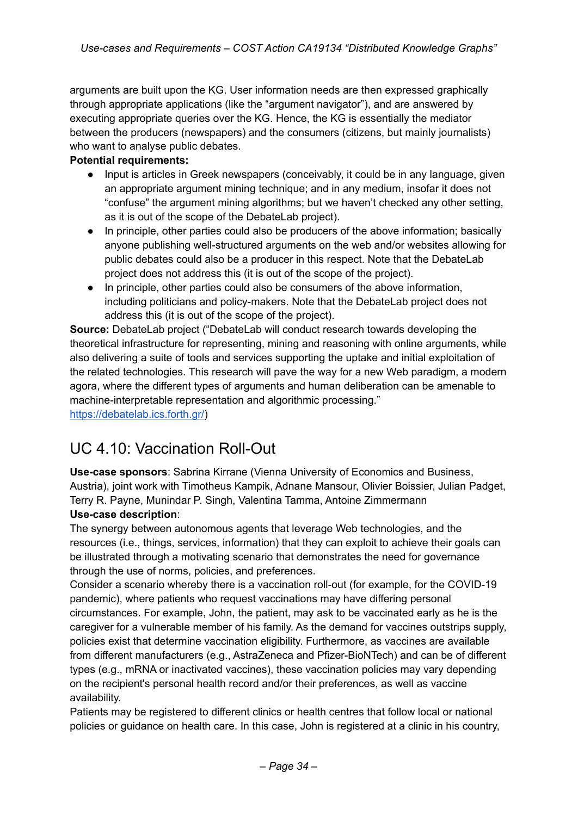arguments are built upon the KG. User information needs are then expressed graphically through appropriate applications (like the "argument navigator"), and are answered by executing appropriate queries over the KG. Hence, the KG is essentially the mediator between the producers (newspapers) and the consumers (citizens, but mainly journalists) who want to analyse public debates.

### **Potential requirements:**

- Input is articles in Greek newspapers (conceivably, it could be in any language, given an appropriate argument mining technique; and in any medium, insofar it does not "confuse" the argument mining algorithms; but we haven't checked any other setting, as it is out of the scope of the DebateLab project).
- In principle, other parties could also be producers of the above information; basically anyone publishing well-structured arguments on the web and/or websites allowing for public debates could also be a producer in this respect. Note that the DebateLab project does not address this (it is out of the scope of the project).
- In principle, other parties could also be consumers of the above information, including politicians and policy-makers. Note that the DebateLab project does not address this (it is out of the scope of the project).

**Source:** DebateLab project ("DebateLab will conduct research towards developing the theoretical infrastructure for representing, mining and reasoning with online arguments, while also delivering a suite of tools and services supporting the uptake and initial exploitation of the related technologies. This research will pave the way for a new Web paradigm, a modern agora, where the different types of arguments and human deliberation can be amenable to machine-interpretable representation and algorithmic processing."

[https://debatelab.ics.forth.gr/\)](https://debatelab.ics.forth.gr/)

# UC 4.10: Vaccination Roll-Out

**Use-case sponsors**: Sabrina Kirrane (Vienna University of Economics and Business, Austria), joint work with Timotheus Kampik, Adnane Mansour, Olivier Boissier, Julian Padget, Terry R. Payne, Munindar P. Singh, Valentina Tamma, Antoine Zimmermann **Use-case description**:

The synergy between autonomous agents that leverage Web technologies, and the resources (i.e., things, services, information) that they can exploit to achieve their goals can be illustrated through a motivating scenario that demonstrates the need for governance through the use of norms, policies, and preferences.

Consider a scenario whereby there is a vaccination roll-out (for example, for the COVID-19 pandemic), where patients who request vaccinations may have differing personal circumstances. For example, John, the patient, may ask to be vaccinated early as he is the caregiver for a vulnerable member of his family. As the demand for vaccines outstrips supply, policies exist that determine vaccination eligibility. Furthermore, as vaccines are available from different manufacturers (e.g., AstraZeneca and Pfizer-BioNTech) and can be of different types (e.g., mRNA or inactivated vaccines), these vaccination policies may vary depending on the recipient's personal health record and/or their preferences, as well as vaccine availability.

Patients may be registered to different clinics or health centres that follow local or national policies or guidance on health care. In this case, John is registered at a clinic in his country,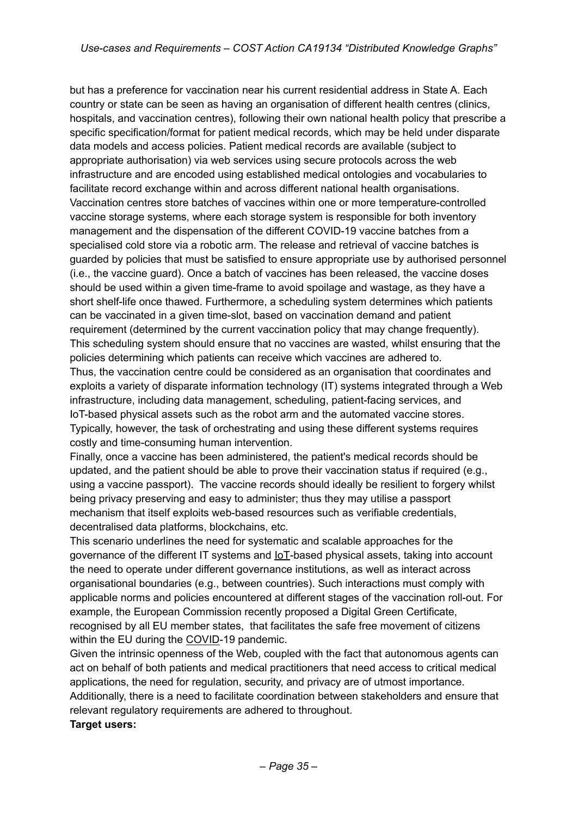but has a preference for vaccination near his current residential address in State A. Each country or state can be seen as having an organisation of different health centres (clinics, hospitals, and vaccination centres), following their own national health policy that prescribe a specific specification/format for patient medical records, which may be held under disparate data models and access policies. Patient medical records are available (subject to appropriate authorisation) via web services using secure protocols across the web infrastructure and are encoded using established medical ontologies and vocabularies to facilitate record exchange within and across different national health organisations. Vaccination centres store batches of vaccines within one or more temperature-controlled vaccine storage systems, where each storage system is responsible for both inventory management and the dispensation of the different COVID-19 vaccine batches from a specialised cold store via a robotic arm. The release and retrieval of vaccine batches is guarded by policies that must be satisfied to ensure appropriate use by authorised personnel (i.e., the vaccine guard). Once a batch of vaccines has been released, the vaccine doses should be used within a given time-frame to avoid spoilage and wastage, as they have a short shelf-life once thawed. Furthermore, a scheduling system determines which patients can be vaccinated in a given time-slot, based on vaccination demand and patient requirement (determined by the current vaccination policy that may change frequently). This scheduling system should ensure that no vaccines are wasted, whilst ensuring that the policies determining which patients can receive which vaccines are adhered to. Thus, the vaccination centre could be considered as an organisation that coordinates and exploits a variety of disparate information technology (IT) systems integrated through a Web infrastructure, including data management, scheduling, patient-facing services, and IoT-based physical assets such as the robot arm and the automated vaccine stores. Typically, however, the task of orchestrating and using these different systems requires costly and time-consuming human intervention.

Finally, once a vaccine has been administered, the patient's medical records should be updated, and the patient should be able to prove their vaccination status if required (e.g., using a vaccine passport). The vaccine records should ideally be resilient to forgery whilst being privacy preserving and easy to administer; thus they may utilise a passport mechanism that itself exploits web-based resources such as verifiable credentials, decentralised data platforms, blockchains, etc.

This scenario underlines the need for systematic and scalable approaches for the governance of the different IT systems and IoT-based physical assets, taking into account the need to operate under different governance institutions, as well as interact across organisational boundaries (e.g., between countries). Such interactions must comply with applicable norms and policies encountered at different stages of the vaccination roll-out. For example, the European Commission recently proposed a Digital Green Certificate, recognised by all EU member states, that facilitates the safe free movement of citizens within the EU during the COVID-19 pandemic.

Given the intrinsic openness of the Web, coupled with the fact that autonomous agents can act on behalf of both patients and medical practitioners that need access to critical medical applications, the need for regulation, security, and privacy are of utmost importance. Additionally, there is a need to facilitate coordination between stakeholders and ensure that relevant regulatory requirements are adhered to throughout. **Target users:**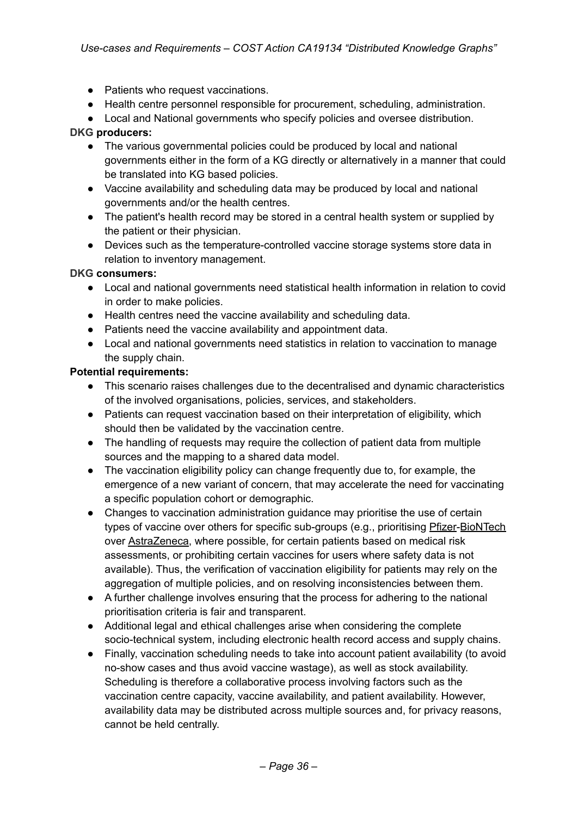- *●* Patients who request vaccinations.
- *●* Health centre personnel responsible for procurement, scheduling, administration.
- *●* Local and National governments who specify policies and oversee distribution.

#### **DKG producers:**

- The various governmental policies could be produced by local and national governments either in the form of a KG directly or alternatively in a manner that could be translated into KG based policies.
- Vaccine availability and scheduling data may be produced by local and national governments and/or the health centres.
- The patient's health record may be stored in a central health system or supplied by the patient or their physician.
- Devices such as the temperature-controlled vaccine storage systems store data in relation to inventory management.

#### **DKG consumers:**

- Local and national governments need statistical health information in relation to covid in order to make policies.
- Health centres need the vaccine availability and scheduling data.
- Patients need the vaccine availability and appointment data.
- Local and national governments need statistics in relation to vaccination to manage the supply chain.

#### **Potential requirements:**

- This scenario raises challenges due to the decentralised and dynamic characteristics of the involved organisations, policies, services, and stakeholders.
- Patients can request vaccination based on their interpretation of eligibility, which should then be validated by the vaccination centre.
- The handling of requests may require the collection of patient data from multiple sources and the mapping to a shared data model.
- The vaccination eligibility policy can change frequently due to, for example, the emergence of a new variant of concern, that may accelerate the need for vaccinating a specific population cohort or demographic.
- Changes to vaccination administration guidance may prioritise the use of certain types of vaccine over others for specific sub-groups (e.g., prioritising Pfizer-BioNTech over AstraZeneca, where possible, for certain patients based on medical risk assessments, or prohibiting certain vaccines for users where safety data is not available). Thus, the verification of vaccination eligibility for patients may rely on the aggregation of multiple policies, and on resolving inconsistencies between them.
- A further challenge involves ensuring that the process for adhering to the national prioritisation criteria is fair and transparent.
- Additional legal and ethical challenges arise when considering the complete socio-technical system, including electronic health record access and supply chains.
- Finally, vaccination scheduling needs to take into account patient availability (to avoid no-show cases and thus avoid vaccine wastage), as well as stock availability. Scheduling is therefore a collaborative process involving factors such as the vaccination centre capacity, vaccine availability, and patient availability. However, availability data may be distributed across multiple sources and, for privacy reasons, cannot be held centrally.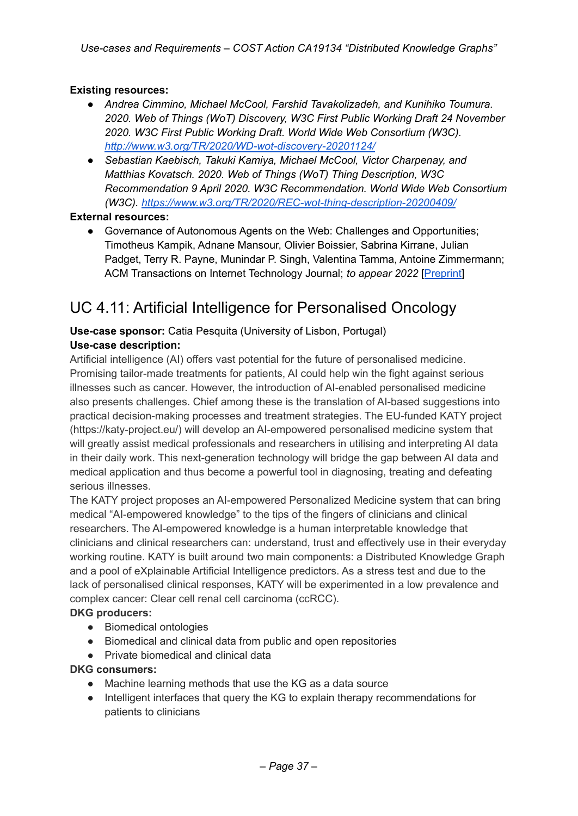### **Existing resources:**

- *● Andrea Cimmino, Michael McCool, Farshid Tavakolizadeh, and Kunihiko Toumura. 2020. Web of Things (WoT) Discovery, W3C First Public Working Draft 24 November 2020. W3C First Public Working Draft. World Wide Web Consortium (W3C). <http://www.w3.org/TR/2020/WD-wot-discovery-20201124/>*
- *● Sebastian Kaebisch, Takuki Kamiya, Michael McCool, Victor Charpenay, and Matthias Kovatsch. 2020. Web of Things (WoT) Thing Description, W3C Recommendation 9 April 2020. W3C Recommendation. World Wide Web Consortium (W3C). <https://www.w3.org/TR/2020/REC-wot-thing-description-20200409/>*

### **External resources:**

● Governance of Autonomous Agents on the Web: Challenges and Opportunities; Timotheus Kampik, Adnane Mansour, Olivier Boissier, Sabrina Kirrane, Julian Padget, Terry R. Payne, Munindar P. Singh, Valentina Tamma, Antoine Zimmermann; ACM Transactions on Internet Technology Journal; *to appear 2022* [[Preprint](https://penni.wu.ac.at/papers/TOIT%202022%20Governance%20of%20Autonomous%20Agents.pdf)]

### UC 4.11: Artificial Intelligence for Personalised Oncology

#### **Use-case sponsor:** Catia Pesquita (University of Lisbon, Portugal) **Use-case description:**

Artificial intelligence (AI) offers vast potential for the future of personalised medicine. Promising tailor-made treatments for patients, AI could help win the fight against serious illnesses such as cancer. However, the introduction of AI-enabled personalised medicine also presents challenges. Chief among these is the translation of AI-based suggestions into practical decision-making processes and treatment strategies. The EU-funded KATY project (https://katy-project.eu/) will develop an AI-empowered personalised medicine system that will greatly assist medical professionals and researchers in utilising and interpreting AI data in their daily work. This next-generation technology will bridge the gap between AI data and medical application and thus become a powerful tool in diagnosing, treating and defeating serious illnesses.

The KATY project proposes an AI-empowered Personalized Medicine system that can bring medical "AI-empowered knowledge" to the tips of the fingers of clinicians and clinical researchers. The AI-empowered knowledge is a human interpretable knowledge that clinicians and clinical researchers can: understand, trust and effectively use in their everyday working routine. KATY is built around two main components: a Distributed Knowledge Graph and a pool of eXplainable Artificial Intelligence predictors. As a stress test and due to the lack of personalised clinical responses, KATY will be experimented in a low prevalence and complex cancer: Clear cell renal cell carcinoma (ccRCC).

### **DKG producers:**

- Biomedical ontologies
- Biomedical and clinical data from public and open repositories
- Private biomedical and clinical data

### **DKG consumers:**

- Machine learning methods that use the KG as a data source
- Intelligent interfaces that query the KG to explain therapy recommendations for patients to clinicians